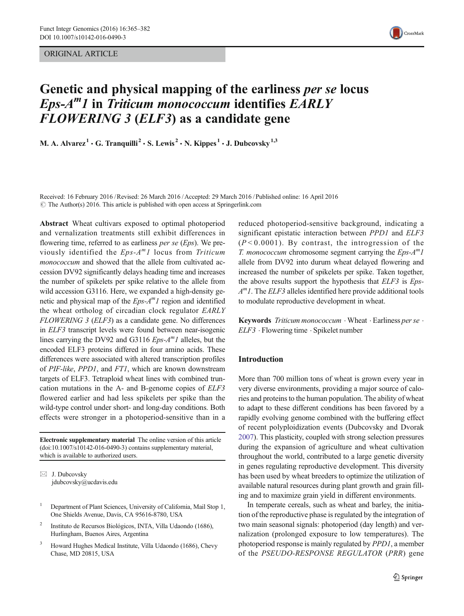ORIGINAL ARTICLE



# Genetic and physical mapping of the earliness per se locus  $Eps-A<sup>m</sup>I$  in Triticum monococcum identifies  $EARLY$ FLOWERING 3 (ELF3) as a candidate gene

M. A. Alvarez<sup>1</sup>  $\cdot$  G. Tranquilli<sup>2</sup>  $\cdot$  S. Lewis<sup>2</sup>  $\cdot$  N. Kippes<sup>1</sup>  $\cdot$  J. Dubcovsky<sup>1,3</sup>

Received: 16 February 2016 /Revised: 26 March 2016 /Accepted: 29 March 2016 /Published online: 16 April 2016  $\odot$  The Author(s) 2016. This article is published with open access at Springerlink.com

Abstract Wheat cultivars exposed to optimal photoperiod and vernalization treatments still exhibit differences in flowering time, referred to as earliness *per se (Eps)*. We previously identified the  $Eps-A^m1$  locus from Triticum monococcum and showed that the allele from cultivated accession DV92 significantly delays heading time and increases the number of spikelets per spike relative to the allele from wild accession G3116. Here, we expanded a high-density genetic and physical map of the  $Eps-A^m1$  region and identified the wheat ortholog of circadian clock regulator EARLY FLOWERING 3 (ELF3) as a candidate gene. No differences in ELF3 transcript levels were found between near-isogenic lines carrying the DV92 and G3116  $Eps-A^{m}1$  alleles, but the encoded ELF3 proteins differed in four amino acids. These differences were associated with altered transcription profiles of PIF-like, PPD1, and FT1, which are known downstream targets of ELF3. Tetraploid wheat lines with combined truncation mutations in the A- and B-genome copies of ELF3 flowered earlier and had less spikelets per spike than the wild-type control under short- and long-day conditions. Both effects were stronger in a photoperiod-sensitive than in a

Electronic supplementary material The online version of this article (doi[:10.1007/s10142-016-0490-3](http://dx.doi.org/10.1007/s10142-016-0490-3)) contains supplementary material, which is available to authorized users.

 $\boxtimes$  J. Dubcovsky jdubcovsky@ucdavis.edu

- <sup>1</sup> Department of Plant Sciences, University of California, Mail Stop 1, One Shields Avenue, Davis, CA 95616-8780, USA
- <sup>2</sup> Instituto de Recursos Biológicos, INTA, Villa Udaondo (1686), Hurlingham, Buenos Aires, Argentina
- <sup>3</sup> Howard Hughes Medical Institute, Villa Udaondo (1686), Chevy Chase, MD 20815, USA

reduced photoperiod-sensitive background, indicating a significant epistatic interaction between PPD1 and ELF3  $(P<0.0001)$ . By contrast, the introgression of the T. monococcum chromosome segment carrying the  $Eps-A^m1$ allele from DV92 into durum wheat delayed flowering and increased the number of spikelets per spike. Taken together, the above results support the hypothesis that ELF3 is Eps- $A<sup>m</sup>I$ . The *ELF3* alleles identified here provide additional tools to modulate reproductive development in wheat.

Keywords *Triticum monococcum*  $\cdot$  Wheat  $\cdot$  Earliness per se  $\cdot$ ELF3 . Flowering time . Spikelet number

# Introduction

More than 700 million tons of wheat is grown every year in very diverse environments, providing a major source of calories and proteins to the human population. The ability of wheat to adapt to these different conditions has been favored by a rapidly evolving genome combined with the buffering effect of recent polyploidization events (Dubcovsky and Dvorak [2007\)](#page-15-0). This plasticity, coupled with strong selection pressures during the expansion of agriculture and wheat cultivation throughout the world, contributed to a large genetic diversity in genes regulating reproductive development. This diversity has been used by wheat breeders to optimize the utilization of available natural resources during plant growth and grain filling and to maximize grain yield in different environments.

In temperate cereals, such as wheat and barley, the initiation of the reproductive phase is regulated by the integration of two main seasonal signals: photoperiod (day length) and vernalization (prolonged exposure to low temperatures). The photoperiod response is mainly regulated by PPD1, a member of the PSEUDO-RESPONSE REGULATOR (PRR) gene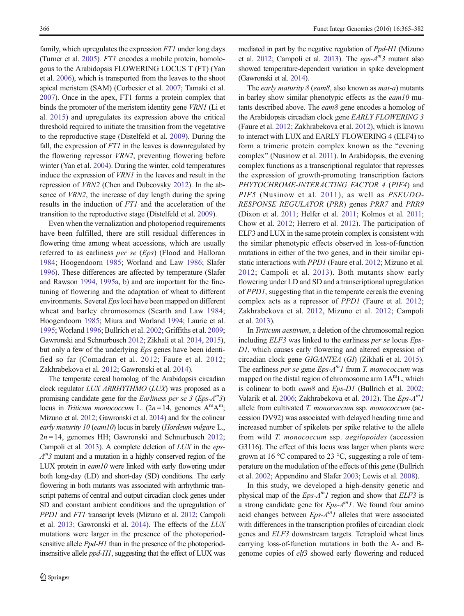family, which upregulates the expression FT1 under long days (Turner et al. [2005\)](#page-17-0). FT1 encodes a mobile protein, homologous to the Arabidopsis FLOWERING LOCUS T (FT) (Yan et al. [2006\)](#page-17-0), which is transported from the leaves to the shoot apical meristem (SAM) (Corbesier et al. [2007](#page-15-0); Tamaki et al. [2007\)](#page-17-0). Once in the apex, FT1 forms a protein complex that binds the promoter of the meristem identity gene VRN1 (Li et al. [2015](#page-16-0)) and upregulates its expression above the critical threshold required to initiate the transition from the vegetative to the reproductive stage (Distelfeld et al. [2009\)](#page-15-0). During the fall, the expression of  $FT1$  in the leaves is downregulated by the flowering repressor VRN2, preventing flowering before winter (Yan et al. [2004](#page-17-0)). During the winter, cold temperatures induce the expression of VRN1 in the leaves and result in the repression of VRN2 (Chen and Dubcovsky [2012](#page-15-0)). In the absence of VRN2, the increase of day length during the spring results in the induction of FT1 and the acceleration of the transition to the reproductive stage (Distelfeld et al. [2009](#page-15-0)).

Even when the vernalization and photoperiod requirements have been fulfilled, there are still residual differences in flowering time among wheat accessions, which are usually referred to as earliness per se (Eps) (Flood and Halloran [1984;](#page-16-0) Hoogendoorn [1985;](#page-16-0) Worland and Law [1986](#page-17-0); Slafer [1996\)](#page-17-0). These differences are affected by temperature (Slafer and Rawson [1994,](#page-17-0) [1995a](#page-17-0), [b](#page-17-0)) and are important for the finetuning of flowering and the adaptation of wheat to different environments. Several *Eps* loci have been mapped on different wheat and barley chromosomes (Scarth and Law [1984](#page-17-0); Hoogendoorn [1985;](#page-16-0) Miura and Worland [1994;](#page-16-0) Laurie et al. [1995;](#page-16-0) Worland [1996;](#page-17-0) Bullrich et al. [2002](#page-15-0); Griffiths et al. [2009](#page-16-0); Gawronski and Schnurbusch [2012](#page-16-0); Zikhali et al. [2014](#page-17-0), [2015\)](#page-17-0), but only a few of the underlying *Eps* genes have been identified so far (Comadran et al. [2012](#page-15-0); Faure et al. [2012](#page-16-0); Zakhrabekova et al. [2012](#page-17-0); Gawronski et al. [2014\)](#page-16-0).

The temperate cereal homolog of the Arabidopsis circadian clock regulator LUX ARRHYTHMO (LUX) was proposed as a promising candidate gene for the Earliness per se  $\beta$  (Eps- $A^{m}$ 3) locus in Triticum monococcum L. ( $2n = 14$ , genomes  $A^m A^m$ ; Mizuno et al. [2012](#page-16-0); Gawronski et al. [2014](#page-16-0)) and for the colinear early maturity 10 (eam10) locus in barely (Hordeum vulgare L.,  $2n = 14$ , genomes HH; Gawronski and Schnurbusch [2012](#page-16-0); Campoli et al. [2013](#page-15-0)). A complete deletion of LUX in the eps- $A<sup>m</sup>3$  mutant and a mutation in a highly conserved region of the LUX protein in  $eam10$  were linked with early flowering under both long-day (LD) and short-day (SD) conditions. The early flowering in both mutants was associated with arrhythmic transcript patterns of central and output circadian clock genes under SD and constant ambient conditions and the upregulation of PPD1 and FT1 transcript levels (Mizuno et al. [2012](#page-16-0); Campoli et al. [2013](#page-15-0); Gawronski et al. [2014\)](#page-16-0). The effects of the LUX mutations were larger in the presence of the photoperiodsensitive allele *Ppd-H1* than in the presence of the photoperiodinsensitive allele *ppd-H1*, suggesting that the effect of LUX was

mediated in part by the negative regulation of Ppd-H1 (Mizuno et al. [2012;](#page-16-0) Campoli et al. [2013\)](#page-15-0). The  $eps-A^{m}3$  mutant also showed temperature-dependent variation in spike development (Gawronski et al. [2014\)](#page-16-0).

The *early maturity 8 (eam8*, also known as *mat-a*) mutants in barley show similar phenotypic effects as the eam10 mutants described above. The eam8 gene encodes a homolog of the Arabidopsis circadian clock gene EARLY FLOWERING 3 (Faure et al. [2012](#page-16-0); Zakhrabekova et al. [2012\)](#page-17-0), which is known to interact with LUX and EARLY FLOWERING 4 (ELF4) to form a trimeric protein complex known as the "evening complex" (Nusinow et al. [2011\)](#page-16-0). In Arabidopsis, the evening complex functions as a transcriptional regulator that represses the expression of growth-promoting transcription factors PHYTOCHROME-INTERACTING FACTOR 4 (PIF4) and PIF5 (Nusinow et al. [2011](#page-16-0)), as well as PSEUDO-RESPONSE REGULATOR (PRR) genes PRR7 and PRR9 (Dixon et al. [2011](#page-15-0); Helfer et al. [2011;](#page-16-0) Kolmos et al. [2011;](#page-16-0) Chow et al. [2012](#page-15-0); Herrero et al. [2012\)](#page-16-0). The participation of ELF3 and LUX in the same protein complex is consistent with the similar phenotypic effects observed in loss-of-function mutations in either of the two genes, and in their similar epistatic interactions with PPD1 (Faure et al. [2012](#page-16-0); Mizuno et al. [2012;](#page-16-0) Campoli et al. [2013](#page-15-0)). Both mutants show early flowering under LD and SD and a transcriptional upregulation of PPD1, suggesting that in the temperate cereals the evening complex acts as a repressor of PPD1 (Faure et al. [2012;](#page-16-0) Zakhrabekova et al. [2012](#page-17-0), Mizuno et al. [2012](#page-16-0); Campoli et al. [2013](#page-15-0)).

In Triticum aestivum, a deletion of the chromosomal region including ELF3 was linked to the earliness per se locus Eps-D1, which causes early flowering and altered expression of circadian clock gene GIGANTEA (GI) (Zikhali et al. [2015\)](#page-17-0). The earliness *per se* gene  $Eps-A^{m}1$  from *T. monococcum* was mapped on the distal region of chromosome arm  $1A<sup>m</sup>L$ , which is colinear to both eam8 and Eps-D1 (Bullrich et al. [2002;](#page-15-0) Valarik et al. [2006](#page-17-0); Zakhrabekova et al. [2012\)](#page-17-0). The  $Eps-A^m1$ allele from cultivated T. monococcum ssp. monococcum (accession DV92) was associated with delayed heading time and increased number of spikelets per spike relative to the allele from wild T. monococcum ssp. aegilopoides (accession G3116). The effect of this locus was larger when plants were grown at 16 °C compared to 23 °C, suggesting a role of temperature on the modulation of the effects of this gene (Bullrich et al. [2002](#page-15-0); Appendino and Slafer [2003](#page-15-0); Lewis et al. [2008\)](#page-16-0).

In this study, we developed a high-density genetic and physical map of the  $Eps-A^m1$  region and show that  $ELF3$  is a strong candidate gene for  $Eps-A^m1$ . We found four amino acid changes between  $Eps-A^m1$  alleles that were associated with differences in the transcription profiles of circadian clock genes and ELF3 downstream targets. Tetraploid wheat lines carrying loss-of-function mutations in both the A- and Bgenome copies of elf3 showed early flowering and reduced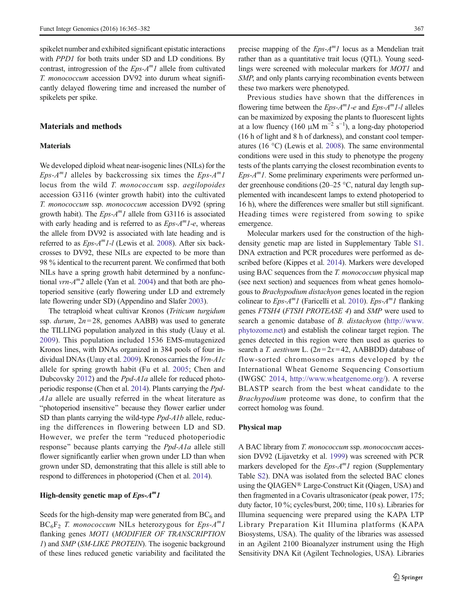spikelet number and exhibited significant epistatic interactions with PPD1 for both traits under SD and LD conditions. By contrast, introgression of the  $Eps-A^m1$  allele from cultivated T. monococcum accession DV92 into durum wheat significantly delayed flowering time and increased the number of spikelets per spike.

## Materials and methods

# **Materials**

We developed diploid wheat near-isogenic lines (NILs) for the Eps- $A^{m}$ l alleles by backcrossing six times the Eps- $A^{m}$ l locus from the wild T. monococcum ssp. aegilopoides accession G3116 (winter growth habit) into the cultivated T. monococcum ssp. monococcum accession DV92 (spring growth habit). The  $Eps-A^{m}1$  allele from G3116 is associated with early heading and is referred to as  $Eps-A^m1-e$ , whereas the allele from DV92 is associated with late heading and is referred to as  $Eps-A^m1-I$  (Lewis et al. [2008](#page-16-0)). After six backcrosses to DV92, these NILs are expected to be more than 98 % identical to the recurrent parent. We confirmed that both NILs have a spring growth habit determined by a nonfunctional *vrn-A*<sup>m</sup>2 allele (Yan et al. [2004\)](#page-17-0) and that both are photoperiod sensitive (early flowering under LD and extremely late flowering under SD) (Appendino and Slafer [2003\)](#page-15-0).

The tetraploid wheat cultivar Kronos (Triticum turgidum ssp. durum,  $2n = 28$ , genomes AABB) was used to generate the TILLING population analyzed in this study (Uauy et al. [2009](#page-17-0)). This population included 1536 EMS-mutagenized Kronos lines, with DNAs organized in 384 pools of four individual DNAs (Uauy et al. [2009\)](#page-17-0). Kronos carries the Vrn-A1c allele for spring growth habit (Fu et al. [2005](#page-16-0); Chen and Dubcovsky [2012\)](#page-15-0) and the Ppd-A1a allele for reduced photoperiodic response (Chen et al. [2014\)](#page-15-0). Plants carrying the Ppd-A1a allele are usually referred in the wheat literature as "photoperiod insensitive" because they flower earlier under SD than plants carrying the wild-type *Ppd-A1b* allele, reducing the differences in flowering between LD and SD. However, we prefer the term "reduced photoperiodic response" because plants carrying the  $Ppd-A1a$  allele still flower significantly earlier when grown under LD than when grown under SD, demonstrating that this allele is still able to respond to differences in photoperiod (Chen et al. [2014\)](#page-15-0).

#### High-density genetic map of  $Eps-A^m1$

Seeds for the high-density map were generated from  $BC_6$  and  $BC_6F_2$  T. monococcum NILs heterozygous for Eps-A<sup>m</sup>1 flanking genes MOT1 (MODIFIER OF TRANSCRIPTION 1) and SMP (SM-LIKE PROTEIN). The isogenic background of these lines reduced genetic variability and facilitated the precise mapping of the  $Eps-A^m1$  locus as a Mendelian trait rather than as a quantitative trait locus (QTL). Young seedlings were screened with molecular markers for MOT1 and SMP, and only plants carrying recombination events between these two markers were phenotyped.

Previous studies have shown that the differences in flowering time between the  $Eps-A^m1-e$  and  $Eps-A^m1-e$  alleles can be maximized by exposing the plants to fluorescent lights at a low fluency (160 μM m<sup>-2</sup> s<sup>-1</sup>), a long-day photoperiod (16 h of light and 8 h of darkness), and constant cool temperatures (16 °C) (Lewis et al. [2008\)](#page-16-0). The same environmental conditions were used in this study to phenotype the progeny tests of the plants carrying the closest recombination events to  $Eps-A^m1$ . Some preliminary experiments were performed under greenhouse conditions (20–25 °C, natural day length supplemented with incandescent lamps to extend photoperiod to 16 h), where the differences were smaller but still significant. Heading times were registered from sowing to spike emergence.

Molecular markers used for the construction of the highdensity genetic map are listed in Supplementary Table S1. DNA extraction and PCR procedures were performed as described before (Kippes et al. [2014](#page-16-0)). Markers were developed using BAC sequences from the T. monococcum physical map (see next section) and sequences from wheat genes homologous to Brachypodium distachyon genes located in the region colinear to  $Eps-A^m1$  (Faricelli et al. [2010\)](#page-16-0).  $Eps-A^m1$  flanking genes FTSH4 (FTSH PROTEASE 4) and SMP were used to search a genomic database of B. distachyon ([http://www.](http://www.phytozome.net/) [phytozome.net\)](http://www.phytozome.net/) and establish the colinear target region. The genes detected in this region were then used as queries to search a T. aestivum L.  $(2n=2x=42,$  AABBDD) database of flow-sorted chromosomes arms developed by the International Wheat Genome Sequencing Consortium (IWGSC [2014,](#page-16-0) [http://www.wheatgenome.org/\)](http://www.wheatgenome.org/). A reverse BLASTP search from the best wheat candidate to the Brachypodium proteome was done, to confirm that the correct homolog was found.

#### Physical map

A BAC library from T. monococcum ssp. monococcum accession DV92 (Lijavetzky et al. [1999](#page-16-0)) was screened with PCR markers developed for the  $Eps-A^{m}1$  region (Supplementary Table S2). DNA was isolated from the selected BAC clones using the QIAGEN® Large-Construct Kit (Qiagen, USA) and then fragmented in a Covaris ultrasonicator (peak power, 175; duty factor, 10 %; cycles/burst, 200; time, 110 s). Libraries for Illumina sequencing were prepared using the KAPA LTP Library Preparation Kit Illumina platforms (KAPA Biosystems, USA). The quality of the libraries was assessed in an Agilent 2100 Bioanalyzer instrument using the High Sensitivity DNA Kit (Agilent Technologies, USA). Libraries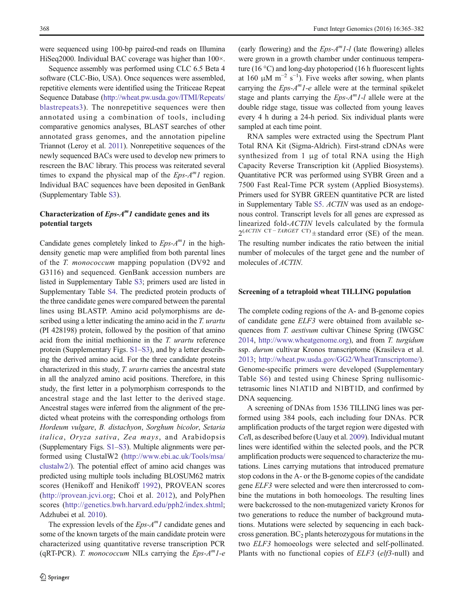were sequenced using 100-bp paired-end reads on Illumina HiSeq2000. Individual BAC coverage was higher than 100×.

Sequence assembly was performed using CLC 6.5 Beta 4 software (CLC-Bio, USA). Once sequences were assembled, repetitive elements were identified using the Triticeae Repeat Sequence Database ([http://wheat.pw.usda.gov/ITMI/Repeats/](http://wheat.pw.usda.gov/ITMI/Repeats/blastrepeats3) [blastrepeats3](http://wheat.pw.usda.gov/ITMI/Repeats/blastrepeats3)). The nonrepetitive sequences were then annotated using a combination of tools, including comparative genomics analyses, BLAST searches of other annotated grass genomes, and the annotation pipeline Triannot (Leroy et al. [2011\)](#page-16-0). Nonrepetitive sequences of the newly sequenced BACs were used to develop new primers to rescreen the BAC library. This process was reiterated several times to expand the physical map of the  $Eps-A^m1$  region. Individual BAC sequences have been deposited in GenBank (Supplementary Table S3).

# Characterization of  $Eps-A^m1$  candidate genes and its potential targets

Candidate genes completely linked to  $Eps-A^{m}1$  in the highdensity genetic map were amplified from both parental lines of the T. monococcum mapping population (DV92 and G3116) and sequenced. GenBank accession numbers are listed in Supplementary Table S3; primers used are listed in Supplementary Table S4. The predicted protein products of the three candidate genes were compared between the parental lines using BLASTP. Amino acid polymorphisms are described using a letter indicating the amino acid in the T. urartu (PI 428198) protein, followed by the position of that amino acid from the initial methionine in the T. urartu reference protein (Supplementary Figs. S1–S3), and by a letter describing the derived amino acid. For the three candidate proteins characterized in this study, T. urartu carries the ancestral state in all the analyzed amino acid positions. Therefore, in this study, the first letter in a polymorphism corresponds to the ancestral stage and the last letter to the derived stage. Ancestral stages were inferred from the alignment of the predicted wheat proteins with the corresponding orthologs from Hordeum vulgare, B. distachyon, Sorghum bicolor, Setaria italica, Oryza sativa, Zea mays, and Arabidopsis (Supplementary Figs. S1–S3). Multiple alignments were performed using ClustalW2 [\(http://www.ebi.ac.uk/Tools/msa/](http://www.ebi.ac.uk/Tools/msa/clustalw2/) [clustalw2/](http://www.ebi.ac.uk/Tools/msa/clustalw2/)). The potential effect of amino acid changes was predicted using multiple tools including BLOSUM62 matrix scores (Henikoff and Henikoff [1992\)](#page-16-0), PROVEAN scores [\(http://provean.jcvi.org](http://provean.jcvi.org/); Choi et al. [2012\)](#page-15-0), and PolyPhen scores (<http://genetics.bwh.harvard.edu/pph2/index.shtml>; Adzhubei et al. [2010](#page-15-0)).

The expression levels of the  $Eps-A^m1$  candidate genes and some of the known targets of the main candidate protein were characterized using quantitative reverse transcription PCR (qRT-PCR). T. monococcum NILs carrying the  $Eps-A^m1-e$ 

(early flowering) and the  $Eps-A^m1-I$  (late flowering) alleles were grown in a growth chamber under continuous temperature (16 °C) and long-day photoperiod (16 h fluorescent lights at 160  $\mu$ M m<sup>-2</sup> s<sup>-1</sup>). Five weeks after sowing, when plants carrying the  $Eps-A^m1-e$  allele were at the terminal spikelet stage and plants carrying the  $Eps-A^m1-I$  allele were at the double ridge stage, tissue was collected from young leaves every 4 h during a 24-h period. Six individual plants were sampled at each time point.

RNA samples were extracted using the Spectrum Plant Total RNA Kit (Sigma-Aldrich). First-strand cDNAs were synthesized from 1 μg of total RNA using the High Capacity Reverse Transcription kit (Applied Biosystems). Quantitative PCR was performed using SYBR Green and a 7500 Fast Real-Time PCR system (Applied Biosystems). Primers used for SYBR GREEN quantitative PCR are listed in Supplementary Table S5. ACTIN was used as an endogenous control. Transcript levels for all genes are expressed as linearized fold-ACTIN levels calculated by the formula  $2^{(ACTIN \ CT - TARGET \ CT)}$  ± standard error (SE) of the mean. The resulting number indicates the ratio between the initial number of molecules of the target gene and the number of molecules of ACTIN.

## Screening of a tetraploid wheat TILLING population

The complete coding regions of the A- and B-genome copies of candidate gene ELF3 were obtained from available sequences from T. aestivum cultivar Chinese Spring (IWGSC [2014,](#page-16-0) [http://www.wheatgenome.org\)](http://www.wheatgenome.org/), and from T. turgidum ssp. durum cultivar Kronos transcriptome (Krasileva et al. [2013;](#page-16-0) [http://wheat.pw.usda.gov/GG2/WheatTranscriptome/\)](http://wheat.pw.usda.gov/GG2/WheatTranscriptome/). Genome-specific primers were developed (Supplementary Table S6) and tested using Chinese Spring nullisomictetrasomic lines N1AT1D and N1BT1D, and confirmed by DNA sequencing.

A screening of DNAs from 1536 TILLING lines was performed using 384 pools, each including four DNAs. PCR amplification products of the target region were digested with CelI, as described before (Uauy et al. [2009](#page-17-0)). Individual mutant lines were identified within the selected pools, and the PCR amplification products were sequenced to characterize the mutations. Lines carrying mutations that introduced premature stop codons in the A- or the B-genome copies of the candidate gene ELF3 were selected and were then intercrossed to combine the mutations in both homoeologs. The resulting lines were backcrossed to the non-mutagenized variety Kronos for two generations to reduce the number of background mutations. Mutations were selected by sequencing in each backcross generation.  $BC_2$  plants heterozygous for mutations in the two ELF3 homoeologs were selected and self-pollinated. Plants with no functional copies of *ELF3* (elf3-null) and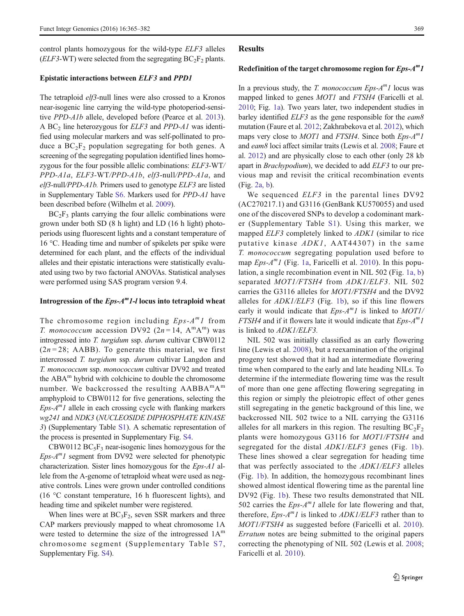control plants homozygous for the wild-type ELF3 alleles ( $ELF3-WT$ ) were selected from the segregating  $BC_2F_2$  plants.

#### Epistatic interactions between ELF3 and PPD1

The tetraploid *elf3*-null lines were also crossed to a Kronos near-isogenic line carrying the wild-type photoperiod-sensitive PPD-A1b allele, developed before (Pearce et al. [2013\)](#page-17-0). A BC<sub>2</sub> line heterozygous for *ELF3* and *PPD-A1* was identified using molecular markers and was self-pollinated to produce a  $BC_2F_2$  population segregating for both genes. A screening of the segregating population identified lines homozygous for the four possible allelic combinations: ELF3-WT/ PPD-A1a, ELF3-WT/PPD-A1b, elf3-null/PPD-A1a, and elf3-null/PPD-A1b. Primers used to genotype ELF3 are listed in Supplementary Table S6. Markers used for PPD-A1 have been described before (Wilhelm et al. [2009](#page-17-0)).

 $BC_2F_3$  plants carrying the four allelic combinations were grown under both SD (8 h light) and LD (16 h light) photoperiods using fluorescent lights and a constant temperature of 16 °C. Heading time and number of spikelets per spike were determined for each plant, and the effects of the individual alleles and their epistatic interactions were statistically evaluated using two by two factorial ANOVAs. Statistical analyses were performed using SAS program version 9.4.

#### Introgression of the  $Eps-A^m1-I$  locus into tetraploid wheat

The chromosome region including  $Eps-A^m1$  from *T. monococcum* accession DV92 ( $2n = 14$ ,  $A^m A^m$ ) was introgressed into T. turgidum ssp. durum cultivar CBW0112  $(2n = 28; AABB)$ . To generate this material, we first intercrossed T. turgidum ssp. durum cultivar Langdon and T. monococcum ssp. monococcum cultivar DV92 and treated the ABA<sup>m</sup> hybrid with colchicine to double the chromosome number. We backcrossed the resulting AABBA<sup>m</sup>A<sup>m</sup> amphyploid to CBW0112 for five generations, selecting the  $Eps-A<sup>m</sup>I$  allele in each crossing cycle with flanking markers wg241 and NDK3 (NUCLEOSIDE DIPHOSPHATE KINASE 3) (Supplementary Table S1). A schematic representation of the process is presented in Supplementary Fig. S4.

CBW0112  $BC_5F_3$  near-isogenic lines homozygous for the  $Eps-A^m1$  segment from DV92 were selected for phenotypic characterization. Sister lines homozygous for the Eps-A1 allele from the A-genome of tetraploid wheat were used as negative controls. Lines were grown under controlled conditions (16 °C constant temperature, 16 h fluorescent lights), and heading time and spikelet number were registered.

When lines were at  $BC_3F_2$ , seven SSR markers and three CAP markers previously mapped to wheat chromosome 1A were tested to determine the size of the introgressed  $1A<sup>m</sup>$ chromosome segment (Supplementary Table S7, Supplementary Fig. S4).

#### **Results**

#### Redefinition of the target chromosome region for  $Eps-A^m1$

In a previous study, the T. monococcum  $Eps-A^{m}1$  locus was mapped linked to genes *MOT1* and *FTSH4* (Faricelli et al. [2010;](#page-16-0) Fig. [1a](#page-5-0)). Two years later, two independent studies in barley identified  $ELF3$  as the gene responsible for the  $eam8$ mutation (Faure et al. [2012](#page-16-0); Zakhrabekova et al. [2012\)](#page-17-0), which maps very close to *MOT1* and *FTSH4*. Since both  $Eps-A^m1$ and eam8 loci affect similar traits (Lewis et al. [2008;](#page-16-0) Faure et al. [2012](#page-16-0)) and are physically close to each other (only 28 kb apart in Brachypodium), we decided to add ELF3 to our previous map and revisit the critical recombination events (Fig. [2a, b](#page-5-0)).

We sequenced *ELF3* in the parental lines DV92 (AC270217.1) and G3116 (GenBank KU570055) and used one of the discovered SNPs to develop a codominant marker (Supplementary Table S1). Using this marker, we mapped *ELF3* completely linked to *ADK1* (similar to rice putative kinase  $ADKI$ , AAT 44307) in the same T. monococcum segregating population used before to map  $Eps-A<sup>m</sup>I$  (Fig. [1a,](#page-5-0) Faricelli et al. [2010\)](#page-16-0). In this population, a single recombination event in NIL 502 (Fig. [1a, b](#page-5-0)) separated MOT1/FTSH4 from ADK1/ELF3. NIL 502 carries the G3116 alleles for MOT1/FTSH4 and the DV92 alleles for  $ADK1/ELF3$  (Fig. [1b\)](#page-5-0), so if this line flowers early it would indicate that  $Eps-A^m1$  is linked to  $MOT1/$ FTSH4 and if it flowers late it would indicate that  $Eps-A^m1$ is linked to ADK1/ELF3.

NIL 502 was initially classified as an early flowering line (Lewis et al. [2008](#page-16-0)), but a reexamination of the original progeny test showed that it had an intermediate flowering time when compared to the early and late heading NILs. To determine if the intermediate flowering time was the result of more than one gene affecting flowering segregating in this region or simply the pleiotropic effect of other genes still segregating in the genetic background of this line, we backcrossed NIL 502 twice to a NIL carrying the G3116 alleles for all markers in this region. The resulting  $BC_2F_2$ plants were homozygous G3116 for MOT1/FTSH4 and segregated for the distal *ADK1/ELF3* genes (Fig. [1b](#page-5-0)). These lines showed a clear segregation for heading time that was perfectly associated to the ADK1/ELF3 alleles (Fig. [1b](#page-5-0)). In addition, the homozygous recombinant lines showed almost identical flowering time as the parental line DV92 (Fig. [1b\)](#page-5-0). These two results demonstrated that NIL 502 carries the  $Eps-A^m1$  allele for late flowering and that, therefore,  $Eps-A^m1$  is linked to  $ADK1/ELF3$  rather than to MOT1/FTSH4 as suggested before (Faricelli et al. [2010](#page-16-0)). Erratum notes are being submitted to the original papers correcting the phenotyping of NIL 502 (Lewis et al. [2008;](#page-16-0) Faricelli et al. [2010](#page-16-0)).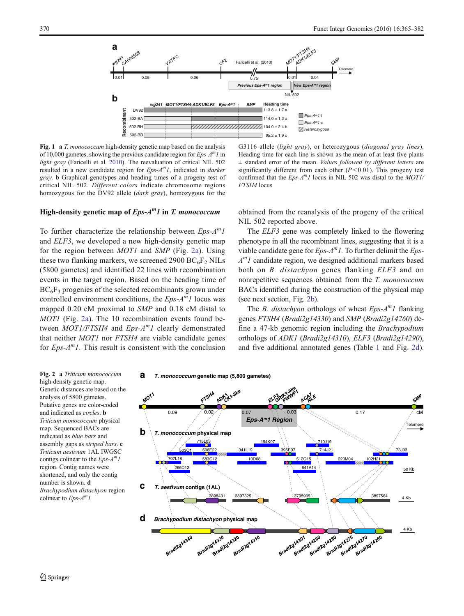<span id="page-5-0"></span>

Fig. 1 a T. monococcum high-density genetic map based on the analysis of 10,000 gametes, showing the previous candidate region for  $Eps-A^mI$  in light gray (Faricelli et al. [2010\)](#page-16-0). The reevaluation of critical NIL 502 resulted in a new candidate region for  $Eps-A^mI$ , indicated in *darker* gray. b Graphical genotypes and heading times of a progeny test of critical NIL 502. Different colors indicate chromosome regions homozygous for the DV92 allele (dark gray), homozygous for the

# High-density genetic map of  $Eps-A^m1$  in T. monococcum

To further characterize the relationship between  $Eps-A^m1$ and ELF3, we developed a new high-density genetic map for the region between MOT1 and SMP (Fig. 2a). Using these two flanking markers, we screened 2900 BC $_{6}F_{2}$  NILs (5800 gametes) and identified 22 lines with recombination events in the target region. Based on the heading time of  $BC_6F_3$  progenies of the selected recombinants grown under controlled environment conditions, the  $Eps-A^{m}1$  locus was mapped 0.20 cM proximal to SMP and 0.18 cM distal to MOT1 (Fig. 2a). The 10 recombination events found between  $MOT1/FTSH4$  and  $Eps-A^{m}1$  clearly demonstrated that neither MOT1 nor FTSH4 are viable candidate genes for  $Eps-A^mI$ . This result is consistent with the conclusion



obtained from the reanalysis of the progeny of the critical NIL 502 reported above.

The ELF3 gene was completely linked to the flowering phenotype in all the recombinant lines, suggesting that it is a viable candidate gene for  $Eps-A^mI$ . To further delimit the  $Eps A<sup>m</sup>I$  candidate region, we designed additional markers based both on *B. distachyon* genes flanking *ELF3* and on nonrepetitive sequences obtained from the T. monococcum BACs identified during the construction of the physical map (see next section, Fig. 2b).

The *B. distachyon* orthologs of wheat  $Eps-A^{m}1$  flanking genes FTSH4 (Bradi2g14330) and SMP (Bradi2g14260) define a 47-kb genomic region including the Brachypodium orthologs of ADK1 (Bradi2g14310), ELF3 (Bradi2g14290), and five additional annotated genes (Table [1](#page-6-0) and Fig. 2d).

Fig. 2 a Triticum monococcum high-density genetic map. Genetic distances are based on the analysis of 5800 gametes. Putative genes are color-coded and indicated as circles. b Triticum monococcum physical map. Sequenced BACs are indicated as blue bars and assembly gaps as striped bars. c Triticum aestivum 1AL IWGSC contigs colinear to the  $Eps-A^m1$ region. Contig names were shortened, and only the contig number is shown. d Brachypodium distachyon region colinear to  $Eps-A^mI$ 



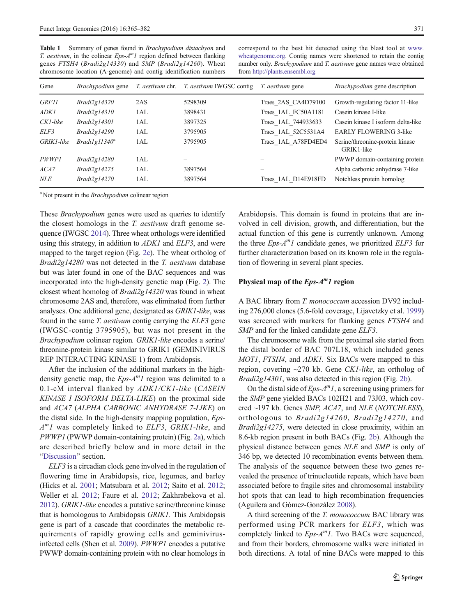<span id="page-6-0"></span>Table 1 Summary of genes found in *Brachypodium distachyon* and T. aestivum, in the colinear  $Eps-A^m1$  region defined between flanking genes FTSH4 (Bradi2g14330) and SMP (Bradi2g14260). Wheat chromosome location (A-genome) and contig identification numbers correspond to the best hit detected using the blast tool at [www.](http://www.wheatgenome.org/) [wheatgenome.org](http://www.wheatgenome.org/). Contig names were shortened to retain the contig number only. Brachypodium and T. aestivum gene names were obtained from [http://plants.ensembl.org](http://plants.ensembl.org/)

| Gene         | <i>Brachypodium</i> gene | <i>T. aestivum</i> chr. | <i>T. aestivum</i> IWGSC contig | <i>T. aestivum</i> gene | <i>Brachypodium</i> gene description          |
|--------------|--------------------------|-------------------------|---------------------------------|-------------------------|-----------------------------------------------|
| <i>GRF11</i> | Bradi2gl4320             | 2AS                     | 5298309                         | Traes 2AS CA4D79100     | Growth-regulating factor 11-like              |
| ADK1         | Bradi2gl4310             | 1AL                     | 3898431                         | Traes 1AL FC50A1181     | Casein kinase I-like                          |
| CK1-like     | Bradi2gl4301             | 1AL                     | 3897325                         | Traes 1AL 744933633     | Casein kinase I isoform delta-like            |
| ELF3         | Bradi2gl4290             | 1AL                     | 3795905                         | Traes 1AL 52C5531A4     | <b>EARLY FLOWERING 3-like</b>                 |
| GRIK1-like   | $Bradilg11340^a$         | 1AL                     | 3795905                         | Traes 1AL A78FD4ED4     | Serine/threonine-protein kinase<br>GRIK1-like |
| PWWP1        | Bradi2gl4280             | 1AL                     | $\equiv$                        |                         | PWWP domain-containing protein                |
| ACA7         | Bradi2gl4275             | 1 A L                   | 3897564                         |                         | Alpha carbonic anhydrase 7-like               |
| NLE          | Bradi2gl4270             | 1AL                     | 3897564                         | Traes 1AL D14E918FD     | Notchless protein homolog                     |

<sup>a</sup> Not present in the *Brachypodium* colinear region

These *Brachypodium* genes were used as queries to identify the closest homologs in the T. aestivum draft genome sequence (IWGSC [2014](#page-16-0)). Three wheat orthologs were identified using this strategy, in addition to *ADK1* and *ELF3*, and were mapped to the target region (Fig. [2c\)](#page-5-0). The wheat ortholog of Bradi2g14280 was not detected in the T. aestivum database but was later found in one of the BAC sequences and was incorporated into the high-density genetic map (Fig. [2](#page-5-0)). The closest wheat homolog of Bradi2g14320 was found in wheat chromosome 2AS and, therefore, was eliminated from further analyses. One additional gene, designated as GRIK1-like, was found in the same T. aestivum contig carrying the ELF3 gene (IWGSC-contig 3795905), but was not present in the Brachypodium colinear region. GRIK1-like encodes a serine/ threonine-protein kinase similar to GRIK1 (GEMINIVIRUS REP INTERACTING KINASE 1) from Arabidopsis.

After the inclusion of the additional markers in the highdensity genetic map, the  $Eps-A^m1$  region was delimited to a 0.1-cM interval flanked by ADK1/CK1-like (CASEIN KINASE I ISOFORM DELTA-LIKE) on the proximal side and ACA7 (ALPHA CARBONIC ANHYDRASE 7-LIKE) on the distal side. In the high-density mapping population, Eps- $A<sup>m</sup>I$  was completely linked to *ELF3*, *GRIK1-like*, and PWWP1 (PWWP domain-containing protein) (Fig. [2a\)](#page-5-0), which are described briefly below and in more detail in the "[Discussion](#page-12-0)" section.

ELF3 is a circadian clock gene involved in the regulation of flowering time in Arabidopsis, rice, legumes, and barley (Hicks et al. [2001](#page-16-0); Matsubara et al. [2012;](#page-16-0) Saito et al. [2012](#page-17-0); Weller et al. [2012;](#page-17-0) Faure et al. [2012;](#page-16-0) Zakhrabekova et al. [2012\)](#page-17-0). GRIK1-like encodes a putative serine/threonine kinase that is homologous to Arabidopsis GRIK1. This Arabidopsis gene is part of a cascade that coordinates the metabolic requirements of rapidly growing cells and geminivirusinfected cells (Shen et al. [2009](#page-17-0)). PWWP1 encodes a putative PWWP domain-containing protein with no clear homologs in

Arabidopsis. This domain is found in proteins that are involved in cell division, growth, and differentiation, but the actual function of this gene is currently unknown. Among the three  $Eps-A^m1$  candidate genes, we prioritized  $ELF3$  for further characterization based on its known role in the regulation of flowering in several plant species.

# Physical map of the  $Eps-A^m1$  region

A BAC library from T. monococcum accession DV92 including 276,000 clones (5.6-fold coverage, Lijavetzky et al. [1999](#page-16-0)) was screened with markers for flanking genes FTSH4 and SMP and for the linked candidate gene ELF3.

The chromosome walk from the proximal site started from the distal border of BAC 707L18, which included genes MOT1, FTSH4, and ADK1. Six BACs were mapped to this region, covering ~270 kb. Gene CK1-like, an ortholog of Bradi2g14301, was also detected in this region (Fig. [2b](#page-5-0)).

On the distal side of  $Eps-A^m1$ , a screening using primers for the SMP gene yielded BACs 102H21 and 73J03, which covered ~197 kb. Genes SMP, ACA7, and NLE (NOTCHLESS), orthologous to Bradi2g14260, Bradi2g14270, and Bradi2g14275, were detected in close proximity, within an 8.6-kb region present in both BACs (Fig. [2b\)](#page-5-0). Although the physical distance between genes NLE and SMP is only of 346 bp, we detected 10 recombination events between them. The analysis of the sequence between these two genes revealed the presence of trinucleotide repeats, which have been associated before to fragile sites and chromosomal instability hot spots that can lead to high recombination frequencies (Aguilera and Gómez-González [2008](#page-15-0)).

A third screening of the T. monococcum BAC library was performed using PCR markers for ELF3, which was completely linked to  $Eps-A^m1$ . Two BACs were sequenced, and from their borders, chromosome walks were initiated in both directions. A total of nine BACs were mapped to this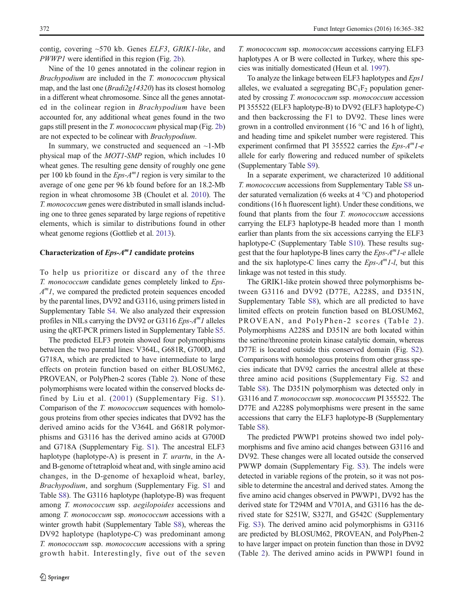contig, covering  $\sim$ 570 kb. Genes *ELF3*, *GRIK1-like*, and PWWP1 were identified in this region (Fig. [2b\)](#page-5-0).

Nine of the 10 genes annotated in the colinear region in Brachypodium are included in the T. monococcum physical map, and the last one (*Bradi2g14320*) has its closest homolog in a different wheat chromosome. Since all the genes annotated in the colinear region in Brachypodium have been accounted for, any additional wheat genes found in the two gaps still present in the T. monococcum physical map (Fig. [2b\)](#page-5-0) are not expected to be colinear with Brachypodium.

In summary, we constructed and sequenced an  $\sim$ 1-Mb physical map of the MOT1-SMP region, which includes 10 wheat genes. The resulting gene density of roughly one gene per 100 kb found in the  $Eps-A^mI$  region is very similar to the average of one gene per 96 kb found before for an 18.2-Mb region in wheat chromosome 3B (Choulet et al. [2010\)](#page-15-0). The T. monococcum genes were distributed in small islands including one to three genes separated by large regions of repetitive elements, which is similar to distributions found in other wheat genome regions (Gottlieb et al. [2013\)](#page-16-0).

## Characterization of  $Eps-A^m1$  candidate proteins

To help us prioritize or discard any of the three T. monococcum candidate genes completely linked to Eps- $A<sup>m</sup>I$ , we compared the predicted protein sequences encoded by the parental lines, DV92 and G3116, using primers listed in Supplementary Table S4. We also analyzed their expression profiles in NILs carrying the DV92 or G3116  $Eps-A^{m}1$  alleles using the qRT-PCR primers listed in Supplementary Table S5.

The predicted ELF3 protein showed four polymorphisms between the two parental lines: V364L, G681R, G700D, and G718A, which are predicted to have intermediate to large effects on protein function based on either BLOSUM62, PROVEAN, or PolyPhen-2 scores (Table [2\)](#page-8-0). None of these polymorphisms were located within the conserved blocks defined by Liu et al. ([2001\)](#page-16-0) (Supplementary Fig. S1). Comparison of the *T. monococcum* sequences with homologous proteins from other species indicates that DV92 has the derived amino acids for the V364L and G681R polymorphisms and G3116 has the derived amino acids at G700D and G718A (Supplementary Fig. S1). The ancestral ELF3 haplotype (haplotype-A) is present in T. *urartu*, in the Aand B-genome of tetraploid wheat and, with single amino acid changes, in the D-genome of hexaploid wheat, barley, Brachypodium, and sorghum (Supplementary Fig. S1 and Table S8). The G3116 haplotype (haplotype-B) was frequent among T. monococcum ssp. aegilopoides accessions and among T. monococcum ssp. monococcum accessions with a winter growth habit (Supplementary Table S8), whereas the DV92 haplotype (haplotype-C) was predominant among T. monococcum ssp. monococcum accessions with a spring growth habit. Interestingly, five out of the seven

T. monococcum ssp. monococcum accessions carrying ELF3 haplotypes A or B were collected in Turkey, where this species was initially domesticated (Heun et al. [1997](#page-16-0)).

To analyze the linkage between ELF3 haplotypes and Eps1 alleles, we evaluated a segregating  $BC_1F_2$  population generated by crossing T. monococcum ssp. monococcum accession PI 355522 (ELF3 haplotype-B) to DV92 (ELF3 haplotype-C) and then backcrossing the F1 to DV92. These lines were grown in a controlled environment (16 $\degree$ C and 16 h of light), and heading time and spikelet number were registered. This experiment confirmed that PI 355522 carries the  $Eps-A^m1-e$ allele for early flowering and reduced number of spikelets (Supplementary Table S9).

In a separate experiment, we characterized 10 additional T. monococcum accessions from Supplementary Table S8 under saturated vernalization (6 weeks at 4 °C) and photoperiod conditions (16 h fluorescent light). Under these conditions, we found that plants from the four T. monococcum accessions carrying the ELF3 haplotype-B headed more than 1 month earlier than plants from the six accessions carrying the ELF3 haplotype-C (Supplementary Table S10). These results suggest that the four haplotype-B lines carry the  $Eps-A^m1-e$  allele and the six haplotype-C lines carry the  $Eps-A^{m}1-l$ , but this linkage was not tested in this study.

The GRIK1-like protein showed three polymorphisms between G3116 and DV92 (D77E, A228S, and D351N, Supplementary Table S8), which are all predicted to have limited effects on protein function based on BLOSUM62, PROVEAN, and PolyPhen-[2](#page-8-0) scores (Table 2). Polymorphisms A228S and D351N are both located within the serine/threonine protein kinase catalytic domain, whereas D77E is located outside this conserved domain (Fig. S2). Comparisons with homologous proteins from other grass species indicate that DV92 carries the ancestral allele at these three amino acid positions (Supplementary Fig. S2 and Table S8). The D351N polymorphism was detected only in G3116 and T. monococcum ssp. monococcum PI 355522. The D77E and A228S polymorphisms were present in the same accessions that carry the ELF3 haplotype-B (Supplementary Table S8).

The predicted PWWP1 proteins showed two indel polymorphisms and five amino acid changes between G3116 and DV92. These changes were all located outside the conserved PWWP domain (Supplementary Fig. S3). The indels were detected in variable regions of the protein, so it was not possible to determine the ancestral and derived states. Among the five amino acid changes observed in PWWP1, DV92 has the derived state for T294M and V701A, and G3116 has the derived state for S251W, S327I, and G542C (Supplementary Fig. S3). The derived amino acid polymorphisms in G3116 are predicted by BLOSUM62, PROVEAN, and PolyPhen-2 to have larger impact on protein function than those in DV92 (Table [2\)](#page-8-0). The derived amino acids in PWWP1 found in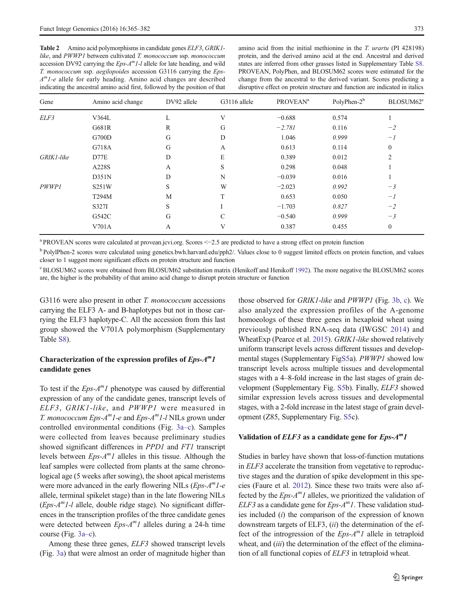<span id="page-8-0"></span>Table 2 Amino acid polymorphisms in candidate genes *ELF3*, *GRIK1*like, and PWWP1 between cultivated T. monococcum ssp. monococcum accession DV92 carrying the  $Eps-A<sup>m</sup>I-I$  allele for late heading, and wild T. monococcum ssp. aegilopoides accession G3116 carrying the Eps- $A<sup>m</sup>I-e$  allele for early heading. Amino acid changes are described indicating the ancestral amino acid first, followed by the position of that

| Gene         | Amino acid change | DV92 allele | G3116 allele  | <b>PROVEAN<sup>a</sup></b> | PolyPhen-2 <sup>b</sup> | BLOSUM62 <sup>c</sup> |
|--------------|-------------------|-------------|---------------|----------------------------|-------------------------|-----------------------|
| ELF3         | V364L             | L           | V             | $-0.688$                   | 0.574                   |                       |
|              | G681R             | R           | G             | $-2.781$                   | 0.116                   | $-2$                  |
|              | G700D             | G           | D             | 1.046                      | 0.999                   | $-l$                  |
|              | G718A             | G           | A             | 0.613                      | 0.114                   | $\mathbf{0}$          |
| GRIK1-like   | D77E              | D           | E             | 0.389                      | 0.012                   | $\overline{2}$        |
|              | A228S             | A           | S             | 0.298                      | 0.048                   |                       |
|              | D351N             | D           | N             | $-0.039$                   | 0.016                   |                       |
| <b>PWWP1</b> | S251W             | S           | W             | $-2.023$                   | 0.992                   | $-3$                  |
|              | T294M             | M           | T             | 0.653                      | 0.050                   | $-I$                  |
|              | S327I             | S           |               | $-1.703$                   | 0.827                   | $-2$                  |
|              | G542C             | G           | $\mathcal{C}$ | $-0.540$                   | 0.999                   | $-3$                  |
|              | V701A             | А           | V             | 0.387                      | 0.455                   | $\boldsymbol{0}$      |

<sup>a</sup> PROVEAN scores were calculated at provean.jcvi.org. Scores <−2.5 are predicted to have a strong effect on protein function

b PolylPhen-2 scores were calculated using genetics.bwh.harvard.edu/pph2/. Values close to 0 suggest limited effects on protein function, and values closer to 1 suggest more significant effects on protein structure and function

<sup>c</sup> BLOSUM62 scores were obtained from BLOSUM62 substitution matrix (Henikoff and Henikoff [1992](#page-16-0)). The more negative the BLOSUM62 scores are, the higher is the probability of that amino acid change to disrupt protein structure or function

G3116 were also present in other T. monococcum accessions carrying the ELF3 A- and B-haplotypes but not in those carrying the ELF3 haplotype-C. All the accession from this last group showed the V701A polymorphism (Supplementary Table S8).

# Characterization of the expression profiles of  $Eps-A^m1$ candidate genes

To test if the  $Eps-A^m1$  phenotype was caused by differential expression of any of the candidate genes, transcript levels of ELF3, GRIK1-like, and PWWP1 were measured in T. monococcum Eps- $A^mI$ -e and Eps- $A^mI$ -l NILs grown under controlled environmental conditions (Fig. [3a](#page-9-0)–c). Samples were collected from leaves because preliminary studies showed significant differences in *PPD1* and *FT1* transcript levels between  $Eps-A^m1$  alleles in this tissue. Although the leaf samples were collected from plants at the same chronological age (5 weeks after sowing), the shoot apical meristems were more advanced in the early flowering NILs  $(Eps-A<sup>m</sup>1-e<sup>m</sup>)$ allele, terminal spikelet stage) than in the late flowering NILs  $(Eps-A<sup>m</sup>I-I$  allele, double ridge stage). No significant differences in the transcription profiles of the three candidate genes were detected between  $Eps-A^m1$  alleles during a 24-h time course (Fig. [3a](#page-9-0)–c).

Among these three genes, ELF3 showed transcript levels (Fig. [3a](#page-9-0)) that were almost an order of magnitude higher than those observed for GRIK1-like and PWWP1 (Fig. [3b, c\)](#page-9-0). We also analyzed the expression profiles of the A-genome homoeologs of these three genes in hexaploid wheat using previously published RNA-seq data (IWGSC [2014](#page-16-0)) and WheatExp (Pearce et al. [2015](#page-17-0)). GRIK1-like showed relatively uniform transcript levels across different tissues and developmental stages (Supplementary FigS5a). PWWP1 showed low transcript levels across multiple tissues and developmental stages with a 4–8-fold increase in the last stages of grain development (Supplementary Fig. S5b). Finally, ELF3 showed similar expression levels across tissues and developmental stages, with a 2-fold increase in the latest stage of grain development (Z85, Supplementary Fig. S5c).

## Validation of  $ELF3$  as a candidate gene for  $Eps-A^m1$

Studies in barley have shown that loss-of-function mutations in ELF3 accelerate the transition from vegetative to reproductive stages and the duration of spike development in this species (Faure et al. [2012](#page-16-0)). Since these two traits were also affected by the  $Eps-A^m1$  alleles, we prioritized the validation of  $ELF3$  as a candidate gene for  $Eps-A^m1$ . These validation studies included (i) the comparison of the expression of known downstream targets of ELF3,  $(ii)$  the determination of the effect of the introgression of the  $Eps-A^m1$  allele in tetraploid wheat, and *(iii)* the determination of the effect of the elimination of all functional copies of ELF3 in tetraploid wheat.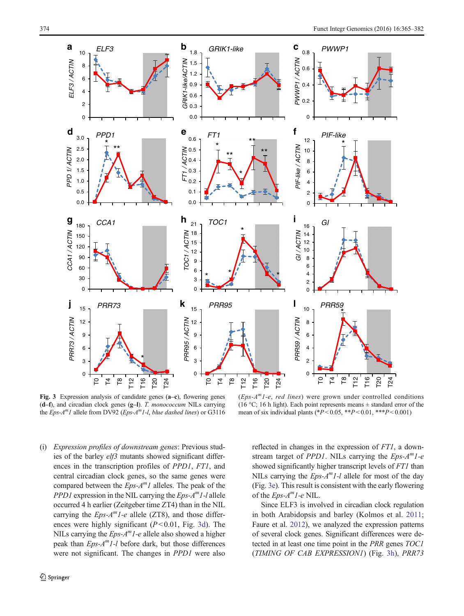<span id="page-9-0"></span>

Fig. 3 Expression analysis of candidate genes (a–c), flowering genes  $(d-f)$ , and circadian clock genes  $(g-1)$ . T. monococcum NILs carrying the  $Eps-A^{m}1$  allele from DV92 (Eps-A<sup>m</sup>1-l, blue dashed lines) or G3116

 $(Eps-A<sup>m</sup>1-e$ , *red lines*) were grown under controlled conditions (16 °C; 16 h light). Each point represents means  $\pm$  standard error of the mean of six individual plants (\* $P < 0.05$ , \*\* $P < 0.01$ , \*\*\* $P < 0.001$ )

(i) Expression profiles of downstream genes: Previous studies of the barley elf3 mutants showed significant differences in the transcription profiles of PPD1, FT1, and central circadian clock genes, so the same genes were compared between the  $Eps-A^m1$  alleles. The peak of the *PPD1* expression in the NIL carrying the  $Eps-A<sup>m</sup>I-I$  allele occurred 4 h earlier (Zeitgeber time ZT4) than in the NIL carrying the  $Eps-A^m1-e$  allele (ZT8), and those differences were highly significant  $(P<0.01$ , Fig. 3d). The NILs carrying the  $Eps-A<sup>m</sup>I-e$  allele also showed a higher peak than  $Eps-A<sup>m</sup>I-I$  before dark, but those differences were not significant. The changes in PPD1 were also reflected in changes in the expression of FT1, a downstream target of *PPD1*. NILs carrying the  $Eps-A^m1-e$ showed significantly higher transcript levels of FT1 than NILs carrying the  $Eps-A<sup>m</sup>1-I$  allele for most of the day (Fig. 3e). This result is consistent with the early flowering of the  $Eps-A<sup>m</sup>I-e$  NIL.

Since ELF3 is involved in circadian clock regulation in both Arabidopsis and barley (Kolmos et al. [2011;](#page-16-0) Faure et al. [2012\)](#page-16-0), we analyzed the expression patterns of several clock genes. Significant differences were detected in at least one time point in the PRR genes TOC1 (TIMING OF CAB EXPRESSION1) (Fig. 3h), PRR73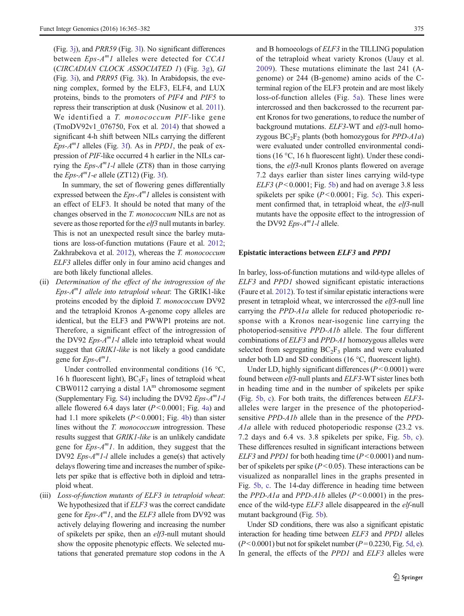(Fig. [3j](#page-9-0)), and PRR59 (Fig. [3l\)](#page-9-0). No significant differences between  $Eps-A^m1$  alleles were detected for CCA1 (CIRCADIAN CLOCK ASSOCIATED 1) (Fig. [3g](#page-9-0)), GI (Fig. [3i\)](#page-9-0), and PRR95 (Fig. [3k\)](#page-9-0). In Arabidopsis, the evening complex, formed by the ELF3, ELF4, and LUX proteins, binds to the promoters of PIF4 and PIF5 to repress their transcription at dusk (Nusinow et al. [2011\)](#page-16-0). We identified a T. monococcum PIF-like gene (TmoDV92v1\_076750, Fox et al. [2014](#page-16-0)) that showed a significant 4-h shift between NILs carrying the different  $Eps-A^{m}1$  alleles (Fig. [3f\)](#page-9-0). As in *PPD1*, the peak of expression of PIF-like occurred 4 h earlier in the NILs carrying the  $Eps-A<sup>m</sup>I-I$  allele (ZT8) than in those carrying the  $Eps-A<sup>m</sup>I-e$  allele (ZT12) (Fig. [3f](#page-9-0)).

In summary, the set of flowering genes differentially expressed between the  $Eps-A^m1$  alleles is consistent with an effect of ELF3. It should be noted that many of the changes observed in the T. monococcum NILs are not as severe as those reported for the elf3 null mutants in barley. This is not an unexpected result since the barley mutations are loss-of-function mutations (Faure et al. [2012](#page-16-0); Zakhrabekova et al. [2012](#page-17-0)), whereas the T. monococcum ELF3 alleles differ only in four amino acid changes and are both likely functional alleles.

(ii) Determination of the effect of the introgression of the  $Eps-A<sup>m</sup>1$  allele into tetraploid wheat: The GRIK1-like proteins encoded by the diploid T. monococcum DV92 and the tetraploid Kronos A-genome copy alleles are identical, but the ELF3 and PWWP1 proteins are not. Therefore, a significant effect of the introgression of the DV92  $Eps-A^{m}1-l$  allele into tetraploid wheat would suggest that *GRIK1-like* is not likely a good candidate gene for  $Eps-A^m1$ .

Under controlled environmental conditions (16 °C, 16 h fluorescent light),  $BC_5F_3$  lines of tetraploid wheat CBW0112 carrying a distal  $1A<sup>m</sup>$  chromosome segment (Supplementary Fig. S4) including the DV92  $Eps-A^m1-I$ allele flowered 6.4 days later  $(P< 0.0001$ ; Fig. [4a](#page-11-0)) and had 1.1 more spikelets  $(P< 0.0001$ ; Fig. [4b\)](#page-11-0) than sister lines without the *T. monococcum* introgression. These results suggest that GRIK1-like is an unlikely candidate gene for  $Eps-A^mI$ . In addition, they suggest that the DV92  $Eps-A<sup>m</sup>I-I$  allele includes a gene(s) that actively delays flowering time and increases the number of spikelets per spike that is effective both in diploid and tetraploid wheat.

(iii) Loss-of-function mutants of ELF3 in tetraploid wheat: We hypothesized that if *ELF3* was the correct candidate gene for  $Eps-A^m1$ , and the  $ELF3$  allele from DV92 was actively delaying flowering and increasing the number of spikelets per spike, then an elf3-null mutant should show the opposite phenotypic effects. We selected mutations that generated premature stop codons in the A and B homoeologs of ELF3 in the TILLING population of the tetraploid wheat variety Kronos (Uauy et al. [2009\)](#page-17-0). These mutations eliminate the last 241 (Agenome) or 244 (B-genome) amino acids of the Cterminal region of the ELF3 protein and are most likely loss-of-function alleles (Fig. [5a\)](#page-11-0). These lines were intercrossed and then backcrossed to the recurrent parent Kronos for two generations, to reduce the number of background mutations. ELF3-WT and elf3-null homozygous  $BC_2F_2$  plants (both homozygous for *PPD-A1a*) were evaluated under controlled environmental conditions (16 °C, 16 h fluorescent light). Under these conditions, the elf3-null Kronos plants flowered on average 7.2 days earlier than sister lines carrying wild-type  $ELF3 (P<0.0001; Fig. 5b)$  $ELF3 (P<0.0001; Fig. 5b)$  $ELF3 (P<0.0001; Fig. 5b)$  and had on average 3.8 less spikelets per spike  $(P<0.0001$ ; Fig. [5c](#page-11-0)). This experiment confirmed that, in tetraploid wheat, the elf3-null mutants have the opposite effect to the introgression of the DV92  $Eps-A^{m}1-l$  allele.

#### Epistatic interactions between ELF3 and PPD1

In barley, loss-of-function mutations and wild-type alleles of ELF3 and PPD1 showed significant epistatic interactions (Faure et al. [2012](#page-16-0)). To test if similar epistatic interactions were present in tetraploid wheat, we intercrossed the elf3-null line carrying the PPD-A1a allele for reduced photoperiodic response with a Kronos near-isogenic line carrying the photoperiod-sensitive PPD-A1b allele. The four different combinations of ELF3 and PPD-A1 homozygous alleles were selected from segregating  $BC_2F_3$  plants and were evaluated under both LD and SD conditions (16 °C, fluorescent light).

Under LD, highly significant differences  $(P<0.0001)$  were found between elf3-null plants and ELF3-WT sister lines both in heading time and in the number of spikelets per spike (Fig. [5b, c](#page-11-0)). For both traits, the differences between ELF3 alleles were larger in the presence of the photoperiodsensitive PPD-A1b allele than in the presence of the PPD-A1a allele with reduced photoperiodic response (23.2 vs. 7.2 days and 6.4 vs. 3.8 spikelets per spike, Fig. [5b, c](#page-11-0)). These differences resulted in significant interactions between  $ELF3$  and *PPD1* for both heading time ( $P < 0.0001$ ) and number of spikelets per spike  $(P<0.05)$ . These interactions can be visualized as nonparallel lines in the graphs presented in Fig. [5b, c.](#page-11-0) The 14-day difference in heading time between the PPD-A1a and PPD-A1b alleles  $(P<0.0001)$  in the presence of the wild-type ELF3 allele disappeared in the elf-null mutant background (Fig. [5b](#page-11-0)).

Under SD conditions, there was also a significant epistatic interaction for heading time between ELF3 and PPD1 alleles  $(P< 0.0001)$  but not for spikelet number  $(P= 0.2230,$  Fig. [5d, e\)](#page-11-0). In general, the effects of the *PPD1* and *ELF3* alleles were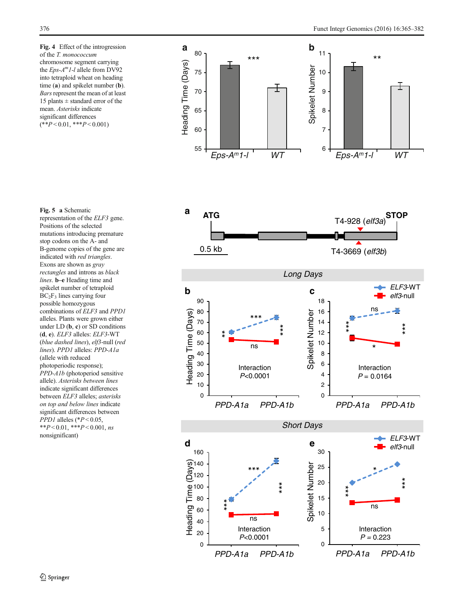<span id="page-11-0"></span>Fig. 4 Effect of the introgression of the T. monococcum chromosome segment carrying the  $Eps-A<sup>m</sup>I-I$  allele from DV92 into tetraploid wheat on heading time (a) and spikelet number (b). Bars represent the mean of at least 15 plants  $\pm$  standard error of the mean. Asterisks indicate significant differences  $(**P<0.01, **P<0.001)$ 

Fig. 5 a Schematic representation of the ELF3 gene. Positions of the selected mutations introducing premature stop codons on the A- and B-genome copies of the gene are indicated with red triangles. Exons are shown as gray rectangles and introns as black lines. b–e Heading time and spikelet number of tetraploid  $BC<sub>2</sub>F<sub>3</sub>$  lines carrying four possible homozygous combinations of ELF3 and PPD1 alleles. Plants were grown either under LD  $(b, c)$  or SD conditions (d, e). ELF3 alleles: ELF3-WT (blue dashed lines), elf3-null (red lines). PPD1 alleles: PPD-A1a (allele with reduced photoperiodic response); PPD-A1b (photoperiod sensitive allele). Asterisks between lines indicate significant differences between ELF3 alleles; asterisks on top and below lines indicate significant differences between  $PPD1$  alleles (\* $P < 0.05$ , \*\* $P < 0.01$ , \*\*\* $P < 0.001$ , ns nonsignificant)

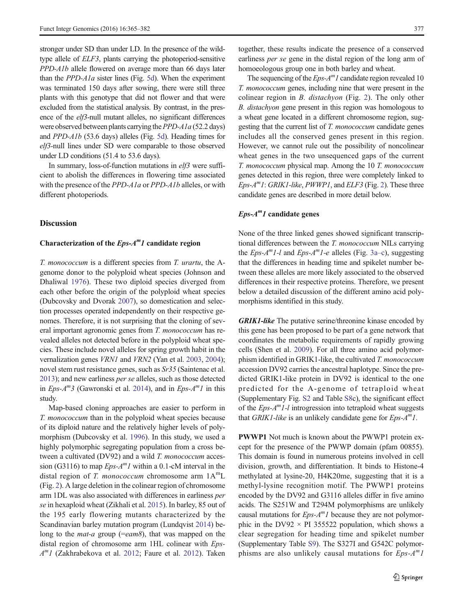<span id="page-12-0"></span>stronger under SD than under LD. In the presence of the wildtype allele of ELF3, plants carrying the photoperiod-sensitive PPD-A1b allele flowered on average more than 66 days later than the  $PPD-Ala$  sister lines (Fig. [5d](#page-11-0)). When the experiment was terminated 150 days after sowing, there were still three plants with this genotype that did not flower and that were excluded from the statistical analysis. By contrast, in the presence of the *elf3*-null mutant alleles, no significant differences were observed between plants carrying the  $PPD-*A*1a$  (52.2 days) and PPD-A1b (53.6 days) alleles (Fig. [5d](#page-11-0)). Heading times for elf3-null lines under SD were comparable to those observed under LD conditions (51.4 to 53.6 days).

In summary, loss-of-function mutations in elf3 were sufficient to abolish the differences in flowering time associated with the presence of the PPD-A1a or PPD-A1b alleles, or with different photoperiods.

#### **Discussion**

## Characterization of the  $Eps-A^m1$  candidate region

T. monococcum is a different species from T. urartu, the Agenome donor to the polyploid wheat species (Johnson and Dhaliwal [1976](#page-16-0)). These two diploid species diverged from each other before the origin of the polyploid wheat species (Dubcovsky and Dvorak [2007](#page-15-0)), so domestication and selection processes operated independently on their respective genomes. Therefore, it is not surprising that the cloning of several important agronomic genes from T. monococcum has revealed alleles not detected before in the polyploid wheat species. These include novel alleles for spring growth habit in the vernalization genes VRN1 and VRN2 (Yan et al. [2003,](#page-17-0) [2004](#page-17-0)); novel stem rust resistance genes, such as Sr35 (Saintenac et al. [2013\)](#page-17-0); and new earliness per se alleles, such as those detected in Eps- $A^{m}$ 3 (Gawronski et al. [2014](#page-16-0)), and in Eps- $A^{m}$ 1 in this study.

Map-based cloning approaches are easier to perform in T. monococcum than in the polyploid wheat species because of its diploid nature and the relatively higher levels of polymorphism (Dubcovsky et al. [1996](#page-16-0)). In this study, we used a highly polymorphic segregating population from a cross between a cultivated (DV92) and a wild T. monococcum accession (G3116) to map  $Eps-A^m1$  within a 0.1-cM interval in the distal region of T. monococcum chromosome arm  $1A<sup>m</sup>L$ (Fig. [2](#page-5-0)). A large deletion in the colinear region of chromosome arm 1DL was also associated with differences in earliness per se in hexaploid wheat (Zikhali et al. [2015](#page-17-0)). In barley, 85 out of the 195 early flowering mutants characterized by the Scandinavian barley mutation program (Lundqvist [2014\)](#page-16-0) belong to the *mat-a* group (= $e$ am8), that was mapped on the distal region of chromosome arm 1HL colinear with Eps- $A<sup>m</sup>I$  (Zakhrabekova et al. [2012;](#page-17-0) Faure et al. [2012\)](#page-16-0). Taken

together, these results indicate the presence of a conserved earliness *per se* gene in the distal region of the long arm of homoeologous group one in both barley and wheat.

The sequencing of the  $Eps-A^m1$  candidate region revealed 10 T. monococcum genes, including nine that were present in the colinear region in B. distachyon (Fig. [2](#page-5-0)). The only other B. distachyon gene present in this region was homologous to a wheat gene located in a different chromosome region, suggesting that the current list of T. monococcum candidate genes includes all the conserved genes present in this region. However, we cannot rule out the possibility of noncolinear wheat genes in the two unsequenced gaps of the current T. monococcum physical map. Among the 10 T. monococcum genes detected in this region, three were completely linked to  $Eps-A<sup>m</sup>1$ : GRIK1-like, PWWP1, and ELF3 (Fig. [2](#page-5-0)). These three candidate genes are described in more detail below.

## $Eps-A<sup>m</sup>I$  candidate genes

None of the three linked genes showed significant transcriptional differences between the T. monococcum NILs carrying the Eps- $A^mI$ -l and Eps- $A^mI$ -e alleles (Fig. [3a](#page-9-0)–c), suggesting that the differences in heading time and spikelet number between these alleles are more likely associated to the observed differences in their respective proteins. Therefore, we present below a detailed discussion of the different amino acid polymorphisms identified in this study.

GRIK1-like The putative serine/threonine kinase encoded by this gene has been proposed to be part of a gene network that coordinates the metabolic requirements of rapidly growing cells (Shen et al. [2009](#page-17-0)). For all three amino acid polymorphism identified in GRIK1-like, the cultivated T. monococcum accession DV92 carries the ancestral haplotype. Since the predicted GRIK1-like protein in DV92 is identical to the one predicted for the A-genome of tetraploid wheat (Supplementary Fig. S2 and Table S8c), the significant effect of the  $Eps-A^m1-l$  introgression into tetraploid wheat suggests that GRIK1-like is an unlikely candidate gene for  $Eps-A^m1$ .

PWWP1 Not much is known about the PWWP1 protein except for the presence of the PWWP domain (pfam 00855). This domain is found in numerous proteins involved in cell division, growth, and differentiation. It binds to Histone-4 methylated at lysine-20, H4K20me, suggesting that it is a methyl-lysine recognition motif. The PWWP1 proteins encoded by the DV92 and G3116 alleles differ in five amino acids. The S251W and T294M polymorphisms are unlikely causal mutations for  $Eps-A^m1$  because they are not polymorphic in the DV92  $\times$  PI 355522 population, which shows a clear segregation for heading time and spikelet number (Supplementary Table S9). The S327I and G542C polymorphisms are also unlikely causal mutations for  $Eps-A^m1$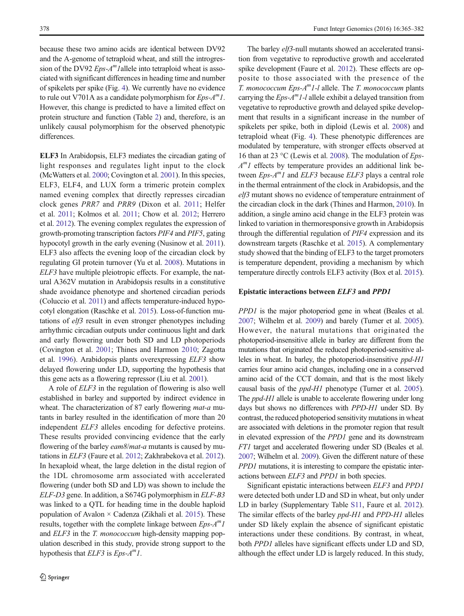because these two amino acids are identical between DV92 and the A-genome of tetraploid wheat, and still the introgression of the DV92  $Eps-A^m1$ allele into tetraploid wheat is associated with significant differences in heading time and number of spikelets per spike (Fig. [4](#page-11-0)). We currently have no evidence to rule out V701A as a candidate polymorphism for  $Eps-A^m1$ . However, this change is predicted to have a limited effect on protein structure and function (Table [2\)](#page-8-0) and, therefore, is an unlikely causal polymorphism for the observed phenotypic differences.

ELF3 In Arabidopsis, ELF3 mediates the circadian gating of light responses and regulates light input to the clock (McWatters et al. [2000;](#page-16-0) Covington et al. [2001](#page-15-0)). In this species, ELF3, ELF4, and LUX form a trimeric protein complex named evening complex that directly represses circadian clock genes PRR7 and PRR9 (Dixon et al. [2011;](#page-15-0) Helfer et al. [2011;](#page-16-0) Kolmos et al. [2011;](#page-16-0) Chow et al. [2012;](#page-15-0) Herrero et al. [2012\)](#page-16-0). The evening complex regulates the expression of growth-promoting transcription factors PIF4 and PIF5, gating hypocotyl growth in the early evening (Nusinow et al. [2011\)](#page-16-0). ELF3 also affects the evening loop of the circadian clock by regulating GI protein turnover (Yu et al. [2008\)](#page-17-0). Mutations in ELF3 have multiple pleiotropic effects. For example, the natural A362V mutation in Arabidopsis results in a constitutive shade avoidance phenotype and shortened circadian periods (Coluccio et al. [2011\)](#page-15-0) and affects temperature-induced hypocotyl elongation (Raschke et al. [2015](#page-17-0)). Loss-of-function mutations of elf3 result in even stronger phenotypes including arrhythmic circadian outputs under continuous light and dark and early flowering under both SD and LD photoperiods (Covington et al. [2001;](#page-15-0) Thines and Harmon [2010;](#page-17-0) Zagotta et al. [1996](#page-17-0)). Arabidopsis plants overexpressing ELF3 show delayed flowering under LD, supporting the hypothesis that this gene acts as a flowering repressor (Liu et al. [2001](#page-16-0)).

A role of ELF3 in the regulation of flowering is also well established in barley and supported by indirect evidence in wheat. The characterization of 87 early flowering *mat-a* mutants in barley resulted in the identification of more than 20 independent ELF3 alleles encoding for defective proteins. These results provided convincing evidence that the early flowering of the barley *eam8/mat-a* mutants is caused by mutations in ELF3 (Faure et al. [2012;](#page-16-0) Zakhrabekova et al. [2012\)](#page-17-0). In hexaploid wheat, the large deletion in the distal region of the 1DL chromosome arm associated with accelerated flowering (under both SD and LD) was shown to include the ELF-D3 gene. In addition, a S674G polymorphism in ELF-B3 was linked to a QTL for heading time in the double haploid population of Avalon  $\times$  Cadenza (Zikhali et al. [2015](#page-17-0)). These results, together with the complete linkage between  $Eps-A^m1$ and *ELF3* in the *T. monococcum* high-density mapping population described in this study, provide strong support to the hypothesis that  $ELF3$  is  $Eps-A^m1$ .

The barley *elf3*-null mutants showed an accelerated transition from vegetative to reproductive growth and accelerated spike development (Faure et al. [2012](#page-16-0)). These effects are opposite to those associated with the presence of the T. monococcum Eps- $A<sup>m</sup>1$ -l allele. The T. monococcum plants carrying the  $Eps-A^m1-l$  allele exhibit a delayed transition from vegetative to reproductive growth and delayed spike development that results in a significant increase in the number of spikelets per spike, both in diploid (Lewis et al. [2008](#page-16-0)) and tetraploid wheat (Fig. [4\)](#page-11-0). These phenotypic differences are modulated by temperature, with stronger effects observed at 16 than at 23 °C (Lewis et al. [2008](#page-16-0)). The modulation of Eps- $A<sup>m</sup>I$  effects by temperature provides an additional link between  $Eps-A^m1$  and  $ELF3$  because  $ELF3$  plays a central role in the thermal entrainment of the clock in Arabidopsis, and the elf3 mutant shows no evidence of temperature entrainment of the circadian clock in the dark (Thines and Harmon, [2010](#page-17-0)). In addition, a single amino acid change in the ELF3 protein was linked to variation in thermoresponsive growth in Arabidopsis through the differential regulation of PIF4 expression and its downstream targets (Raschke et al. [2015](#page-17-0)). A complementary study showed that the binding of ELF3 to the target promoters is temperature dependent, providing a mechanism by which temperature directly controls ELF3 activity (Box et al. [2015\)](#page-15-0).

## Epistatic interactions between ELF3 and PPD1

PPD1 is the major photoperiod gene in wheat (Beales et al. [2007;](#page-15-0) Wilhelm et al. [2009](#page-17-0)) and barely (Turner et al. [2005\)](#page-17-0). However, the natural mutations that originated the photoperiod-insensitive allele in barley are different from the mutations that originated the reduced photoperiod-sensitive alleles in wheat. In barley, the photoperiod-insensitive ppd-H1 carries four amino acid changes, including one in a conserved amino acid of the CCT domain, and that is the most likely causal basis of the ppd-H1 phenotype (Turner et al. [2005\)](#page-17-0). The *ppd-H1* allele is unable to accelerate flowering under long days but shows no differences with PPD-H1 under SD. By contrast, the reduced photoperiod sensitivity mutations in wheat are associated with deletions in the promoter region that result in elevated expression of the PPD1 gene and its downstream FT1 target and accelerated flowering under SD (Beales et al. [2007](#page-15-0); Wilhelm et al. [2009\)](#page-17-0). Given the different nature of these PPD1 mutations, it is interesting to compare the epistatic interactions between ELF3 and PPD1 in both species.

Significant epistatic interactions between ELF3 and PPD1 were detected both under LD and SD in wheat, but only under LD in barley (Supplementary Table S11, Faure et al. [2012\)](#page-16-0). The similar effects of the barley *ppd-H1* and *PPD-H1* alleles under SD likely explain the absence of significant epistatic interactions under these conditions. By contrast, in wheat, both PPD1 alleles have significant effects under LD and SD, although the effect under LD is largely reduced. In this study,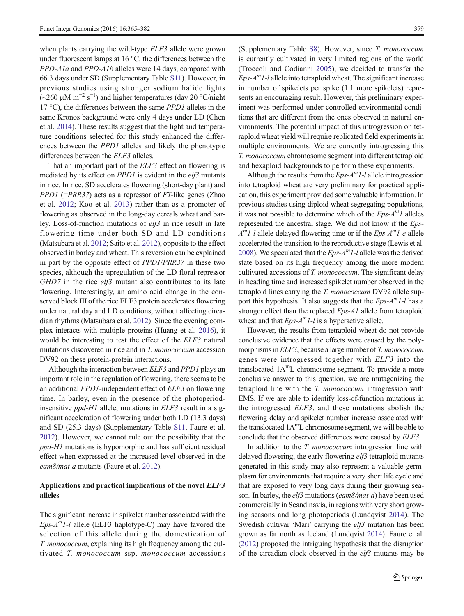when plants carrying the wild-type *ELF3* allele were grown under fluorescent lamps at 16 °C, the differences between the PPD-A1a and PPD-A1b alleles were 14 days, compared with 66.3 days under SD (Supplementary Table S11). However, in previous studies using stronger sodium halide lights  $(-260 \mu M m^{-2} s^{-1})$  and higher temperatures (day 20 °C/night 17 °C), the differences between the same PPD1 alleles in the same Kronos background were only 4 days under LD (Chen et al. [2014](#page-15-0)). These results suggest that the light and temperature conditions selected for this study enhanced the differences between the PPD1 alleles and likely the phenotypic differences between the *ELF3* alleles.

That an important part of the ELF3 effect on flowering is mediated by its effect on PPD1 is evident in the elf3 mutants in rice. In rice, SD accelerates flowering (short-day plant) and *PPD1* ( $=PRR37$ ) acts as a repressor of *FT*-like genes (Zhao et al. [2012](#page-17-0); Koo et al. [2013\)](#page-16-0) rather than as a promoter of flowering as observed in the long-day cereals wheat and barley. Loss-of-function mutations of elf3 in rice result in late flowering time under both SD and LD conditions (Matsubara et al. [2012](#page-16-0); Saito et al. [2012](#page-17-0)), opposite to the effect observed in barley and wheat. This reversion can be explained in part by the opposite effect of PPD1/PRR37 in these two species, although the upregulation of the LD floral repressor  $GHD7$  in the rice  $elf3$  mutant also contributes to its late flowering. Interestingly, an amino acid change in the conserved block III of the rice ELF3 protein accelerates flowering under natural day and LD conditions, without affecting circadian rhythms (Matsubara et al. [2012\)](#page-16-0). Since the evening complex interacts with multiple proteins (Huang et al. [2016\)](#page-16-0), it would be interesting to test the effect of the ELF3 natural mutations discovered in rice and in T. monococcum accession DV92 on these protein-protein interactions.

Although the interaction between ELF3 and PPD1 plays an important role in the regulation of flowering, there seems to be an additional PPD1-independent effect of ELF3 on flowering time. In barley, even in the presence of the photoperiodinsensitive *ppd-H1* allele, mutations in *ELF3* result in a significant acceleration of flowering under both LD (13.3 days) and SD (25.3 days) (Supplementary Table S11, Faure et al. [2012\)](#page-16-0). However, we cannot rule out the possibility that the ppd-H1 mutations is hypomorphic and has sufficient residual effect when expressed at the increased level observed in the eam8/mat-a mutants (Faure et al. [2012](#page-16-0)).

# Applications and practical implications of the novel ELF3 alleles

The significant increase in spikelet number associated with the  $Eps-A<sup>m</sup>1-l$  allele (ELF3 haplotype-C) may have favored the selection of this allele during the domestication of T. monococcum, explaining its high frequency among the cultivated T. monococcum ssp. monococcum accessions

(Supplementary Table S8). However, since T. monococcum is currently cultivated in very limited regions of the world (Troccoli and Codianni [2005\)](#page-17-0), we decided to transfer the  $Eps-A<sup>m</sup>I-I$  allele into tetraploid wheat. The significant increase in number of spikelets per spike (1.1 more spikelets) represents an encouraging result. However, this preliminary experiment was performed under controlled environmental conditions that are different from the ones observed in natural environments. The potential impact of this introgression on tetraploid wheat yield will require replicated field experiments in multiple environments. We are currently introgressing this T. monococcum chromosome segment into different tetraploid and hexaploid backgrounds to perform these experiments.

Although the results from the  $Eps-A^m1-I$  allele introgression into tetraploid wheat are very preliminary for practical application, this experiment provided some valuable information. In previous studies using diploid wheat segregating populations, it was not possible to determine which of the  $Eps-A^m1$  alleles represented the ancestral stage. We did not know if the Eps- $A<sup>m</sup>1-l$  allele delayed flowering time or if the *Eps-A<sup>m</sup>1-e* allele accelerated the transition to the reproductive stage (Lewis et al. [2008\)](#page-16-0). We speculated that the  $Eps-A^{m}1-l$  allele was the derived state based on its high frequency among the more modern cultivated accessions of T. monococcum. The significant delay in heading time and increased spikelet number observed in the tetraploid lines carrying the T. monococcum DV92 allele support this hypothesis. It also suggests that the  $Eps-A^{m}1-l$  has a stronger effect than the replaced Eps-A1 allele from tetraploid wheat and that  $Eps-A^m1-l$  is a hyperactive allele.

However, the results from tetraploid wheat do not provide conclusive evidence that the effects were caused by the polymorphisms in *ELF3*, because a large number of *T. monococcum* genes were introgressed together with ELF3 into the translocated 1AmL chromosome segment. To provide a more conclusive answer to this question, we are mutagenizing the tetraploid line with the T. monococcum introgression with EMS. If we are able to identify loss-of-function mutations in the introgressed ELF3, and these mutations abolish the flowering delay and spikelet number increase associated with the translocated 1AmL chromosome segment, we will be able to conclude that the observed differences were caused by ELF3.

In addition to the *T. monococcum* introgression line with delayed flowering, the early flowering *elf3* tetraploid mutants generated in this study may also represent a valuable germplasm for environments that require a very short life cycle and that are exposed to very long days during their growing season. In barley, the elf3 mutations (eam8/mat-a) have been used commercially in Scandinavia, in regions with very short growing seasons and long photoperiods (Lundqvist [2014](#page-16-0)). The Swedish cultivar 'Mari' carrying the *elf3* mutation has been grown as far north as Iceland (Lundqvist [2014\)](#page-16-0). Faure et al. [\(2012\)](#page-16-0) proposed the intriguing hypothesis that the disruption of the circadian clock observed in the elf3 mutants may be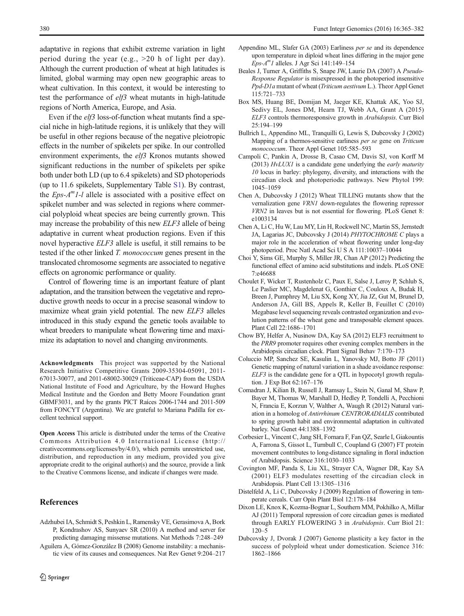<span id="page-15-0"></span>adaptative in regions that exhibit extreme variation in light period during the year (e.g.,  $>20$  h of light per day). Although the current production of wheat at high latitudes is limited, global warming may open new geographic areas to wheat cultivation. In this context, it would be interesting to test the performance of elf3 wheat mutants in high-latitude regions of North America, Europe, and Asia.

Even if the *elf3* loss-of-function wheat mutants find a special niche in high-latitude regions, it is unlikely that they will be useful in other regions because of the negative pleiotropic effects in the number of spikelets per spike. In our controlled environment experiments, the elf3 Kronos mutants showed significant reductions in the number of spikelets per spike both under both LD (up to 6.4 spikelets) and SD photoperiods (up to 11.6 spikelets, Supplementary Table S1). By contrast, the  $Eps-A^m1-l$  allele is associated with a positive effect on spikelet number and was selected in regions where commercial polyploid wheat species are being currently grown. This may increase the probability of this new ELF3 allele of being adaptative in current wheat production regions. Even if this novel hyperactive ELF3 allele is useful, it still remains to be tested if the other linked T. monococcum genes present in the translocated chromosome segments are associated to negative effects on agronomic performance or quality.

Control of flowering time is an important feature of plant adaptation, and the transition between the vegetative and reproductive growth needs to occur in a precise seasonal window to maximize wheat grain yield potential. The new ELF3 alleles introduced in this study expand the genetic tools available to wheat breeders to manipulate wheat flowering time and maximize its adaptation to novel and changing environments.

Acknowledgments This project was supported by the National Research Initiative Competitive Grants 2009-35304-05091, 2011- 67013-30077, and 2011-68002-30029 (Triticeae-CAP) from the USDA National Institute of Food and Agriculture, by the Howard Hughes Medical Institute and the Gordon and Betty Moore Foundation grant GBMF3031, and by the grants PICT Raíces 2006-1744 and 2011-509 from FONCYT (Argentina). We are grateful to Mariana Padilla for excellent technical support.

Open Access This article is distributed under the terms of the Creative Commons Attribution 4.0 International License (http:// creativecommons.org/licenses/by/4.0/), which permits unrestricted use, distribution, and reproduction in any medium, provided you give appropriate credit to the original author(s) and the source, provide a link to the Creative Commons license, and indicate if changes were made.

# References

- Adzhubei IA, Schmidt S, Peshkin L, Ramensky VE, Gerasimova A, Bork P, Kondrashov AS, Sunyaev SR (2010) A method and server for predicting damaging missense mutations. Nat Methods 7:248–249
- Aguilera A, Gómez-González B (2008) Genome instability: a mechanistic view of its causes and consequences. Nat Rev Genet 9:204–217
- Appendino ML, Slafer GA (2003) Earliness per se and its dependence upon temperature in diploid wheat lines differing in the major gene  $Eps-A<sup>m</sup>I$  alleles. J Agr Sci 141:149-154
- Beales J, Turner A, Griffiths S, Snape JW, Laurie DA (2007) A Pseudo-Response Regulator is misexpressed in the photoperiod insensitive Ppd-D1a mutant of wheat (Triticum aestivum L.). Theor Appl Genet 115:721–733
- Box MS, Huang BE, Domijan M, Jaeger KE, Khattak AK, Yoo SJ, Sedivy EL, Jones DM, Hearn TJ, Webb AA, Grant A (2015) ELF3 controls thermoresponsive growth in Arabidopsis. Curr Biol 25:194–199
- Bullrich L, Appendino ML, Tranquilli G, Lewis S, Dubcovsky J (2002) Mapping of a thermos-sensitive earliness per se gene on Triticum monococcum. Theor Appl Genet 105:585-593
- Campoli C, Pankin A, Drosse B, Casao CM, Davis SJ, von Korff M (2013)  $H\nu LUXI$  is a candidate gene underlying the *early maturity* 10 locus in barley: phylogeny, diversity, and interactions with the circadian clock and photoperiodic pathways. New Phytol 199: 1045–1059
- Chen A, Dubcovsky J (2012) Wheat TILLING mutants show that the vernalization gene VRN1 down-regulates the flowering repressor VRN2 in leaves but is not essential for flowering. PLoS Genet 8: e1003134
- Chen A, Li C, Hu W, Lau MY, Lin H, Rockwell NC, Martin SS, Jernstedt JA, Lagarias JC, Dubcovsky J (2014) PHYTOCHROME C plays a major role in the acceleration of wheat flowering under long-day photoperiod. Proc Natl Acad Sci U S A 111:10037–10044
- Choi Y, Sims GE, Murphy S, Miller JR, Chan AP (2012) Predicting the functional effect of amino acid substitutions and indels. PLoS ONE 7:e46688
- Choulet F, Wicker T, Rustenholz C, Paux E, Salse J, Leroy P, Schlub S, Le Paslier MC, Magdelenat G, Gonthier C, Couloux A, Budak H, Breen J, Pumphrey M, Liu SX, Kong XY, Jia JZ, Gut M, Brunel D, Anderson JA, Gill BS, Appels R, Keller B, Feuillet C (2010) Megabase level sequencing reveals contrasted organization and evolution patterns of the wheat gene and transposable element spaces. Plant Cell 22:1686–1701
- Chow BY, Helfer A, Nusinow DA, Kay SA (2012) ELF3 recruitment to the PRR9 promoter requires other evening complex members in the Arabidopsis circadian clock. Plant Signal Behav 7:170–173
- Coluccio MP, Sanchez SE, Kasulin L, Yanovsky MJ, Botto JF (2011) Genetic mapping of natural variation in a shade avoidance response: ELF3 is the candidate gene for a QTL in hypocotyl growth regulation. J Exp Bot 62:167–176
- Comadran J, Kilian B, Russell J, Ramsay L, Stein N, Ganal M, Shaw P, Bayer M, Thomas W, Marshall D, Hedley P, Tondelli A, Pecchioni N, Francia E, Korzun V, Walther A, Waugh R (2012) Natural variation in a homolog of Antirrhinum CENTRORADIALIS contributed to spring growth habit and environmental adaptation in cultivated barley. Nat Genet 44:1388–1392
- Corbesier L, Vincent C, Jang SH, Fornara F, Fan QZ, Searle I, Giakountis A, Farrona S, Gissot L, Turnbull C, Coupland G (2007) FT protein movement contributes to long-distance signaling in floral induction of Arabidopsis. Science 316:1030–1033
- Covington MF, Panda S, Liu XL, Strayer CA, Wagner DR, Kay SA (2001) ELF3 modulates resetting of the circadian clock in Arabidopsis. Plant Cell 13:1305–1316
- Distelfeld A, Li C, Dubcovsky J (2009) Regulation of flowering in temperate cereals. Curr Opin Plant Biol 12:178–184
- Dixon LE, Knox K, Kozma-Bognar L, Southern MM, Pokhilko A, Millar AJ (2011) Temporal repression of core circadian genes is mediated through EARLY FLOWERING 3 in Arabidopsis. Curr Biol 21: 120–5
- Dubcovsky J, Dvorak J (2007) Genome plasticity a key factor in the success of polyploid wheat under domestication. Science 316: 1862–1866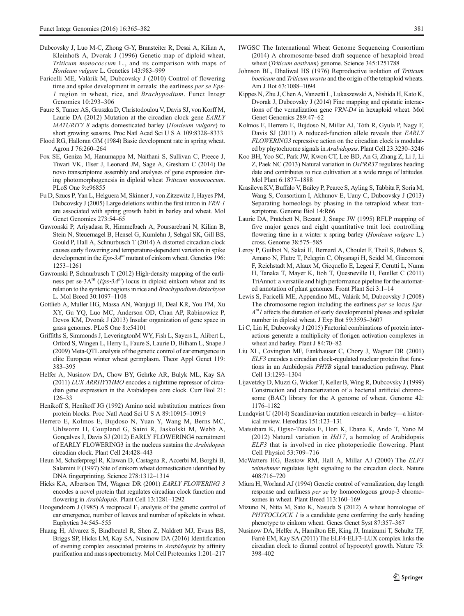- <span id="page-16-0"></span>Dubcovsky J, Luo M-C, Zhong G-Y, Bransteiter R, Desai A, Kilian A, Kleinhofs A, Dvorak J (1996) Genetic map of diploid wheat, Triticum monococcum L., and its comparison with maps of Hordeum vulgare L. Genetics 143:983–999
- Faricelli ME, Valárik M, Dubcovsky J (2010) Control of flowering time and spike development in cereals: the earliness *per se Eps*-1 region in wheat, rice, and Brachypodium. Funct Integr Genomics 10:293–306
- Faure S, Turner AS, Gruszka D, Christodoulou V, Davis SJ, von Korff M, Laurie DA (2012) Mutation at the circadian clock gene EARLY MATURITY 8 adapts domesticated barley (Hordeum vulgare) to short growing seasons. Proc Natl Acad Sci U S A 109:8328–8333
- Flood RG, Halloran GM (1984) Basic development rate in spring wheat. Agron J 76:260–264
- Fox SE, Geniza M, Hanumappa M, Naithani S, Sullivan C, Preece J, Tiwari VK, Elser J, Leonard JM, Sage A, Gresham C (2014) De novo transcriptome assembly and analyses of gene expression during photomorphogenesis in diploid wheat Triticum monococcum. PLoS One 9:e96855
- Fu D, Szucs P, Yan L, Helguera M, Skinner J, von Zitzewitz J, Hayes PM, Dubcovsky J (2005) Large deletions within the first intron in VRN-1 are associated with spring growth habit in barley and wheat. Mol Genet Genomics 273:54–65
- Gawronski P, Ariyadasa R, Himmelbach A, Poursarebani N, Kilian B, Stein N, Steuernagel B, Hensel G, Kumlehn J, Sehgal SK, Gill BS, Gould P, Hall A, Schnurbusch T (2014) A distorted circadian clock causes early flowering and temperature-dependent variation in spike development in the  $Eps-3A^m$  mutant of einkorn wheat. Genetics 196: 1253–1261
- Gawronski P, Schnurbusch T (2012) High‐density mapping of the earliness per se-3A<sup>m</sup> (*Eps*-3A<sup>m</sup>) locus in diploid einkorn wheat and its relation to the syntenic regions in rice and Brachypodium distachyon L. Mol Breed 30:1097–1108
- Gottlieb A, Muller HG, Massa AN, Wanjugi H, Deal KR, You FM, Xu XY, Gu YQ, Luo MC, Anderson OD, Chan AP, Rabinowicz P, Devos KM, Dvorak J (2013) Insular organization of gene space in grass genomes. PLoS One 8:e54101
- Griffiths S, Simmonds J, LeveringtonM WY, Fish L, Sayers L, Alibert L, Orford S, Wingen L, Herry L, Faure S, Laurie D, Bilham L, Snape J (2009) Meta-QTL analysis of the genetic control of ear emergence in elite European winter wheat germplasm. Theor Appl Genet 119: 383–395
- Helfer A, Nusinow DA, Chow BY, Gehrke AR, Bulyk ML, Kay SA (2011) LUX ARRHYTHMO encodes a nighttime repressor of circadian gene expression in the Arabidopsis core clock. Curr Biol 21: 126–33
- Henikoff S, Henikoff JG (1992) Amino acid substitution matrices from protein blocks. Proc Natl Acad Sci U S A 89:10915–10919
- Herrero E, Kolmos E, Bujdoso N, Yuan Y, Wang M, Berns MC, Uhlworm H, Coupland G, Saini R, Jaskolski M, Webb A, Gonçalves J, Davis SJ (2012) EARLY FLOWERING4 recruitment of EARLY FLOWERING3 in the nucleus sustains the Arabidopsis circadian clock. Plant Cell 24:428–443
- Heun M, Schaferpregl R, Klawan D, Castagna R, Accerbi M, Borghi B, Salamini F (1997) Site of einkorn wheat domestication identified by DNA fingerprinting. Science 278:1312–1314
- Hicks KA, Albertson TM, Wagner DR (2001) EARLY FLOWERING 3 encodes a novel protein that regulates circadian clock function and flowering in Arabidopsis. Plant Cell 13:1281–1292
- Hoogendoorn J (1985) A reciprocal  $F_1$  analysis of the genetic control of ear emergence, number of leaves and number of spikelets in wheat. Euphytica 34:545–555
- Huang H, Alvarez S, Bindbeutel R, Shen Z, Naldrett MJ, Evans BS, Briggs SP, Hicks LM, Kay SA, Nusinow DA (2016) Identification of evening complex associated proteins in Arabidopsis by affinity purification and mass spectrometry. Mol Cell Proteomics 1:201–217
- IWGSC The International Wheat Genome Sequencing Consortium (2014) A chromosome-based draft sequence of hexaploid bread wheat (Triticum aestivum) genome. Science 345:1251788
- Johnson BL, Dhaliwal HS (1976) Reproductive isolation of Triticum boeticum and Triticum urartu and the origin of the tetraploid wheats. Am J Bot 63:1088–1094
- Kippes N, Zhu J, Chen A, Vanzetti L, Lukaszewski A, Nishida H, Kato K, Dvorak J, Dubcovsky J (2014) Fine mapping and epistatic interactions of the vernalization gene VRN-D4 in hexaploid wheat. Mol Genet Genomics 289:47–62
- Kolmos E, Herrero E, Bujdoso N, Millar AJ, Tóth R, Gyula P, Nagy F, Davis SJ (2011) A reduced-function allele reveals that EARLY FLOWERING3 repressive action on the circadian clock is modulated by phytochrome signals in Arabidopsis. Plant Cell 23:3230–3246
- Koo BH, Yoo SC, Park JW, Kwon CT, Lee BD, An G, Zhang Z, Li J, Li Z, Paek NC (2013) Natural variation in OsPRR37 regulates heading date and contributes to rice cultivation at a wide range of latitudes. Mol Plant 6:1877–1888
- Krasileva KV, Buffalo V, Bailey P, Pearce S, Ayling S, Tabbita F, Soria M, Wang S, Consortium I, Akhunov E, Uauy C, Dubcovsky J (2013) Separating homeologs by phasing in the tetraploid wheat transcriptome. Genome Biol 14:R66
- Laurie DA, Pratchett N, Bezant J, Snape JW (1995) RFLP mapping of five major genes and eight quantitative trait loci controlling flowering time in a winter x spring barley (Hordeum vulgare L.) cross. Genome 38:575–585
- Leroy P, Guilhot N, Sakai H, Bernard A, Choulet F, Theil S, Reboux S, Amano N, Flutre T, Pelegrin C, Ohyanagi H, Seidel M, Giacomoni F, Reichstadt M, Alaux M, Gicquello E, Legeai F, Cerutti L, Numa H, Tanaka T, Mayer K, Itoh T, Quesneville H, Feuillet C (2011) TriAnnot: a versatile and high performance pipeline for the automated annotation of plant genomes. Front Plant Sci 3:1–14
- Lewis S, Faricelli ME, Appendino ML, Valárik M, Dubcovsky J (2008) The chromosome region including the earliness per se locus Eps- $A<sup>m</sup>I$  affects the duration of early developmental phases and spikelet number in diploid wheat. J Exp Bot 59:3595–3607
- Li C, Lin H, Dubcovsky J (2015) Factorial combinations of protein interactions generate a multiplicity of florigen activation complexes in wheat and barley. Plant J 84:70–82
- Liu XL, Covington MF, Fankhauser C, Chory J, Wagner DR (2001) ELF3 encodes a circadian clock-regulated nuclear protein that functions in an Arabidopsis PHYB signal transduction pathway. Plant Cell 13:1293–1304
- Lijavetzky D, Muzzi G, Wicker T, Keller B, Wing R, Dubcovsky J (1999) Construction and characterization of a bacterial artificial chromosome (BAC) library for the A genome of wheat. Genome 42: 1176–1182
- Lundqvist U (2014) Scandinavian mutation research in barley—a historical review. Hereditas 151:123–131
- Matsubara K, Ogiso-Tanaka E, Hori K, Ebana K, Ando T, Yano M (2012) Natural variation in Hd17, a homolog of Arabidopsis ELF3 that is involved in rice photoperiodic flowering. Plant Cell Physiol 53:709–716
- McWatters HG, Bastow RM, Hall A, Millar AJ (2000) The ELF3 zeitnehmer regulates light signaling to the circadian clock. Nature 408:716–720
- Miura H, Worland AJ (1994) Genetic control of vernalization, day length response and earliness *per se* by homoeologous group-3 chromosomes in wheat. Plant Breed 113:160–169
- Mizuno N, Nitta M, Sato K, Nasuda S (2012) A wheat homologue of PHYTOCLOCK 1 is a candidate gene conferring the early heading phenotype to einkorn wheat. Genes Genet Syst 87:357–367
- Nusinow DA, Helfer A, Hamilton EE, King JJ, Imaizumi T, Schultz TF, Farré EM, Kay SA (2011) The ELF4-ELF3-LUX complex links the circadian clock to diurnal control of hypocotyl growth. Nature 75: 398–402